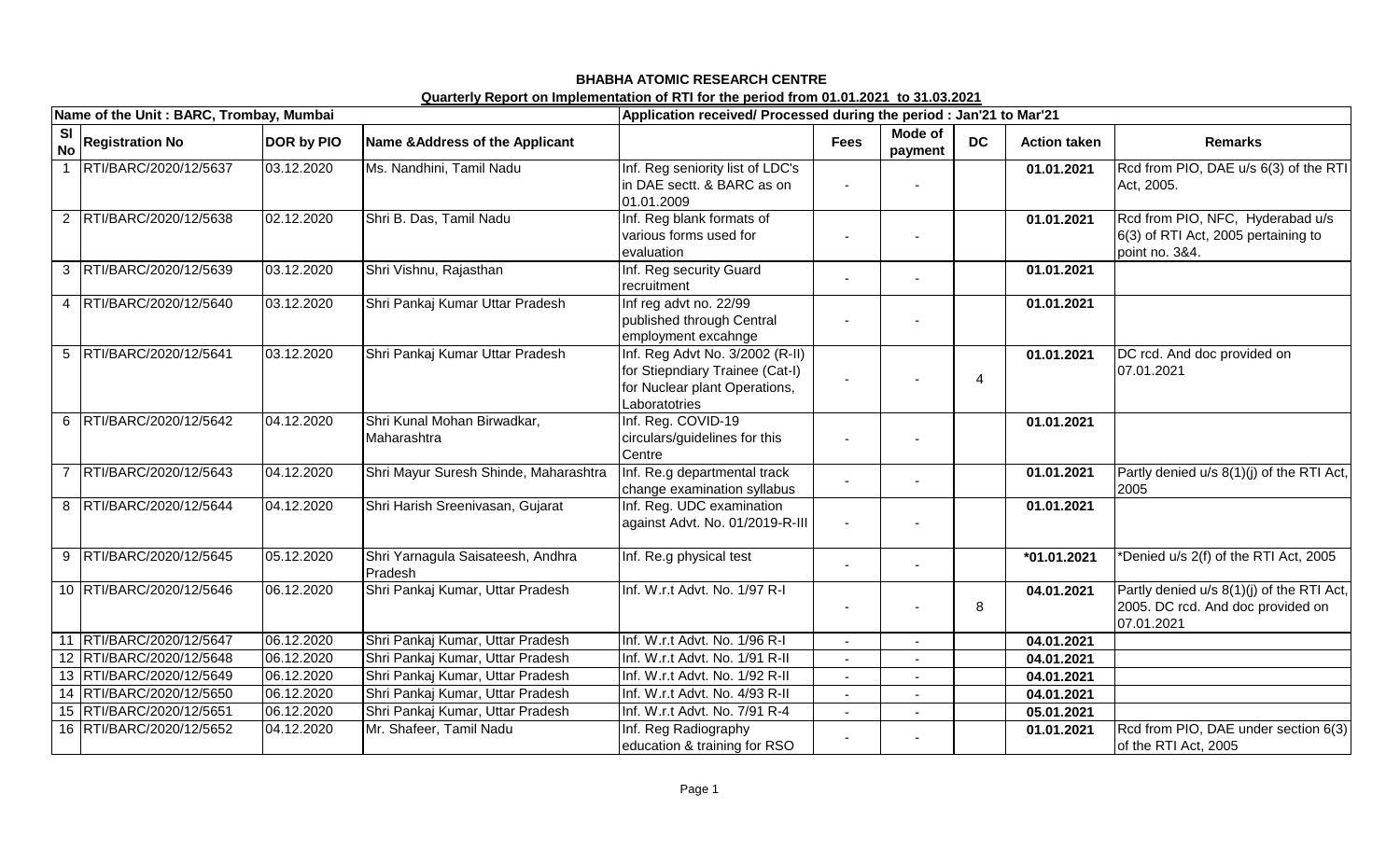|                        | Name of the Unit: BARC, Trombay, Mumbai |                   |                                              | Application received/ Processed during the period : Jan'21 to Mar'21                                                 |             |                    |                          |                     |                                                                                              |  |
|------------------------|-----------------------------------------|-------------------|----------------------------------------------|----------------------------------------------------------------------------------------------------------------------|-------------|--------------------|--------------------------|---------------------|----------------------------------------------------------------------------------------------|--|
| <b>SI</b><br><b>No</b> | <b>Registration No</b>                  | <b>DOR by PIO</b> | Name & Address of the Applicant              |                                                                                                                      | <b>Fees</b> | Mode of<br>payment | <b>DC</b>                | <b>Action taken</b> | <b>Remarks</b>                                                                               |  |
| $\overline{1}$         | RTI/BARC/2020/12/5637                   | 03.12.2020        | Ms. Nandhini, Tamil Nadu                     | Inf. Reg seniority list of LDC's<br>in DAE sectt. & BARC as on<br>01.01.2009                                         |             |                    |                          | 01.01.2021          | Rcd from PIO, DAE u/s 6(3) of the RTI<br>Act, 2005.                                          |  |
|                        | 2 RTI/BARC/2020/12/5638                 | 02.12.2020        | Shri B. Das, Tamil Nadu                      | Inf. Reg blank formats of<br>various forms used for<br>evaluation                                                    |             |                    |                          | 01.01.2021          | Rcd from PIO, NFC, Hyderabad u/s<br>6(3) of RTI Act, 2005 pertaining to<br>point no. 3&4.    |  |
|                        | 3  RTI/BARC/2020/12/5639                | 03.12.2020        | Shri Vishnu, Rajasthan                       | Inf. Reg security Guard<br>recruitment                                                                               |             |                    |                          | 01.01.2021          |                                                                                              |  |
| $\overline{4}$         | RTI/BARC/2020/12/5640                   | 03.12.2020        | Shri Pankaj Kumar Uttar Pradesh              | Inf reg advt no. 22/99<br>published through Central<br>employment excahnge                                           |             |                    |                          | 01.01.2021          |                                                                                              |  |
| $5\overline{)}$        | RTI/BARC/2020/12/5641                   | 03.12.2020        | Shri Pankaj Kumar Uttar Pradesh              | Inf. Reg Advt No. 3/2002 (R-II)<br>for Stiepndiary Trainee (Cat-I)<br>for Nuclear plant Operations,<br>Laboratotries |             |                    | $\overline{\mathcal{A}}$ | 01.01.2021          | DC rcd. And doc provided on<br>07.01.2021                                                    |  |
| 6                      | RTI/BARC/2020/12/5642                   | 04.12.2020        | Shri Kunal Mohan Birwadkar,<br>Maharashtra   | Inf. Reg. COVID-19<br>circulars/guidelines for this<br>Centre                                                        |             |                    |                          | 01.01.2021          |                                                                                              |  |
| $\overline{7}$         | RTI/BARC/2020/12/5643                   | 04.12.2020        | Shri Mayur Suresh Shinde, Maharashtra        | Inf. Re.g departmental track<br>change examination syllabus                                                          |             |                    |                          | 01.01.2021          | Partly denied u/s 8(1)(j) of the RTI Act,<br>2005                                            |  |
|                        | 8  RTI/BARC/2020/12/5644                | 04.12.2020        | Shri Harish Sreenivasan, Gujarat             | Inf. Reg. UDC examination<br>against Advt. No. 01/2019-R-III                                                         |             |                    |                          | 01.01.2021          |                                                                                              |  |
| 9                      | RTI/BARC/2020/12/5645                   | 05.12.2020        | Shri Yarnagula Saisateesh, Andhra<br>Pradesh | Inf. Re.g physical test                                                                                              |             |                    |                          | *01.01.2021         | *Denied u/s 2(f) of the RTI Act, 2005                                                        |  |
|                        | 10 RTI/BARC/2020/12/5646                | 06.12.2020        | Shri Pankaj Kumar, Uttar Pradesh             | Inf. W.r.t Advt. No. 1/97 R-I                                                                                        |             |                    | 8                        | 04.01.2021          | Partly denied u/s 8(1)(j) of the RTI Act,<br>2005. DC rcd. And doc provided on<br>07.01.2021 |  |
|                        | 11 RTI/BARC/2020/12/5647                | 06.12.2020        | Shri Pankaj Kumar, Uttar Pradesh             | Inf. W.r.t Advt. No. 1/96 R-I                                                                                        |             |                    |                          | 04.01.2021          |                                                                                              |  |
|                        | 12 RTI/BARC/2020/12/5648                | 06.12.2020        | Shri Pankaj Kumar, Uttar Pradesh             | Inf. W.r.t Advt. No. 1/91 R-II                                                                                       |             |                    |                          | 04.01.2021          |                                                                                              |  |
|                        | 13 RTI/BARC/2020/12/5649                | 06.12.2020        | Shri Pankaj Kumar, Uttar Pradesh             | Inf. W.r.t Advt. No. 1/92 R-II                                                                                       |             |                    |                          | 04.01.2021          |                                                                                              |  |
|                        | 14 RTI/BARC/2020/12/5650                | 06.12.2020        | Shri Pankaj Kumar, Uttar Pradesh             | Inf. W.r.t Advt. No. 4/93 R-II                                                                                       |             |                    |                          | 04.01.2021          |                                                                                              |  |
|                        | 15 RTI/BARC/2020/12/5651                | 06.12.2020        | Shri Pankaj Kumar, Uttar Pradesh             | Inf. W.r.t Advt. No. 7/91 R-4                                                                                        |             |                    |                          | 05.01.2021          |                                                                                              |  |
|                        | 16 RTI/BARC/2020/12/5652                | 04.12.2020        | Mr. Shafeer, Tamil Nadu                      | Inf. Reg Radiography<br>education & training for RSO                                                                 |             |                    |                          | 01.01.2021          | Rcd from PIO, DAE under section 6(3)<br>of the RTI Act, 2005                                 |  |

## **BHABHA ATOMIC RESEARCH CENTRE Quarterly Report on Implementation of RTI for the period from 01.01.2021 to 31.03.2021**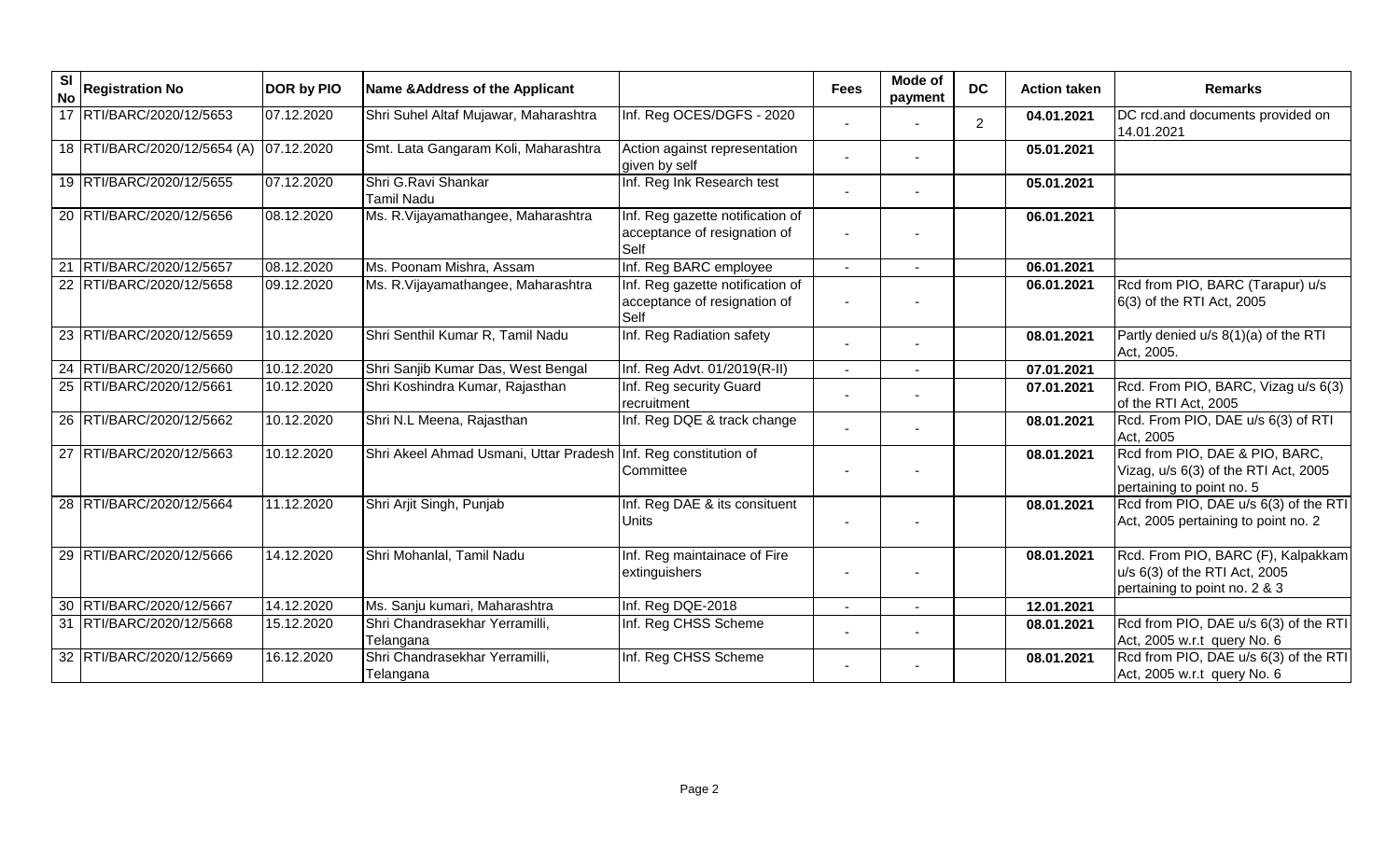| SI<br><b>No</b> | <b>Registration No</b>       | <b>DOR by PIO</b> | Name & Address of the Applicant             |                                                                          | <b>Fees</b> | Mode of<br>payment | <b>DC</b>      | <b>Action taken</b> | <b>Remarks</b>                                                                                        |
|-----------------|------------------------------|-------------------|---------------------------------------------|--------------------------------------------------------------------------|-------------|--------------------|----------------|---------------------|-------------------------------------------------------------------------------------------------------|
|                 | 17 RTI/BARC/2020/12/5653     | 07.12.2020        | Shri Suhel Altaf Mujawar, Maharashtra       | Inf. Reg OCES/DGFS - 2020                                                |             |                    | $\overline{2}$ | 04.01.2021          | DC rcd.and documents provided on<br>14.01.2021                                                        |
|                 | 18 RTI/BARC/2020/12/5654 (A) | 07.12.2020        | Smt. Lata Gangaram Koli, Maharashtra        | Action against representation<br>given by self                           |             |                    |                | 05.01.2021          |                                                                                                       |
|                 | 19 RTI/BARC/2020/12/5655     | 07.12.2020        | Shri G.Ravi Shankar<br><b>Tamil Nadu</b>    | Inf. Reg Ink Research test                                               |             |                    |                | 05.01.2021          |                                                                                                       |
|                 | 20 RTI/BARC/2020/12/5656     | 08.12.2020        | Ms. R. Vijayamathangee, Maharashtra         | Inf. Reg gazette notification of<br>acceptance of resignation of<br>Self |             |                    |                | 06.01.2021          |                                                                                                       |
| 21              | RTI/BARC/2020/12/5657        | 08.12.2020        | Ms. Poonam Mishra, Assam                    | Inf. Reg BARC employee                                                   |             |                    |                | 06.01.2021          |                                                                                                       |
|                 | 22 RTI/BARC/2020/12/5658     | 09.12.2020        | Ms. R. Vijayamathangee, Maharashtra         | Inf. Reg gazette notification of<br>acceptance of resignation of<br>Self |             |                    |                | 06.01.2021          | Rcd from PIO, BARC (Tarapur) u/s<br>6(3) of the RTI Act, 2005                                         |
|                 | 23 RTI/BARC/2020/12/5659     | 10.12.2020        | Shri Senthil Kumar R, Tamil Nadu            | Inf. Reg Radiation safety                                                |             |                    |                | 08.01.2021          | Partly denied u/s 8(1)(a) of the RTI<br>Act, 2005.                                                    |
|                 | 24 RTI/BARC/2020/12/5660     | 10.12.2020        | Shri Sanjib Kumar Das, West Bengal          | Inf. Reg Advt. 01/2019(R-II)                                             |             |                    |                | 07.01.2021          |                                                                                                       |
|                 | 25 RTI/BARC/2020/12/5661     | 10.12.2020        | Shri Koshindra Kumar, Rajasthan             | Inf. Reg security Guard<br>recruitment                                   |             |                    |                | 07.01.2021          | Rcd. From PIO, BARC, Vizag u/s 6(3)<br>of the RTI Act, 2005                                           |
|                 | 26 RTI/BARC/2020/12/5662     | 10.12.2020        | Shri N.L Meena, Rajasthan                   | Inf. Reg DQE & track change                                              |             |                    |                | 08.01.2021          | Rcd. From PIO, DAE u/s 6(3) of RTI<br>Act, 2005                                                       |
|                 | 27 RTI/BARC/2020/12/5663     | 10.12.2020        | Shri Akeel Ahmad Usmani, Uttar Pradesh      | Inf. Reg constitution of<br>Committee                                    |             |                    |                | 08.01.2021          | Rcd from PIO, DAE & PIO, BARC,<br>Vizag, $u/s$ 6(3) of the RTI Act, 2005<br>pertaining to point no. 5 |
|                 | 28 RTI/BARC/2020/12/5664     | 11.12.2020        | Shri Arjit Singh, Punjab                    | Inf. Reg DAE & its consituent<br><b>Units</b>                            |             |                    |                | 08.01.2021          | Rcd from PIO, DAE u/s 6(3) of the RTI<br>Act, 2005 pertaining to point no. 2                          |
|                 | 29 RTI/BARC/2020/12/5666     | 14.12.2020        | Shri Mohanlal, Tamil Nadu                   | Inf. Reg maintainace of Fire<br>extinguishers                            |             |                    |                | 08.01.2021          | Rcd. From PIO, BARC (F), Kalpakkam<br>u/s 6(3) of the RTI Act, 2005<br>pertaining to point no. 2 & 3  |
|                 | 30 RTI/BARC/2020/12/5667     | 14.12.2020        | Ms. Sanju kumari, Maharashtra               | Inf. Reg DQE-2018                                                        |             |                    |                | 12.01.2021          |                                                                                                       |
|                 | 31 RTI/BARC/2020/12/5668     | 15.12.2020        | Shri Chandrasekhar Yerramilli,<br>Telangana | Inf. Reg CHSS Scheme                                                     |             |                    |                | 08.01.2021          | Rcd from PIO, DAE u/s 6(3) of the RTI<br>Act, 2005 w.r.t query No. 6                                  |
|                 | 32 RTI/BARC/2020/12/5669     | 16.12.2020        | Shri Chandrasekhar Yerramilli,<br>Telangana | Inf. Reg CHSS Scheme                                                     |             |                    |                | 08.01.2021          | Rcd from PIO, DAE u/s 6(3) of the RTI<br>Act, 2005 w.r.t query No. 6                                  |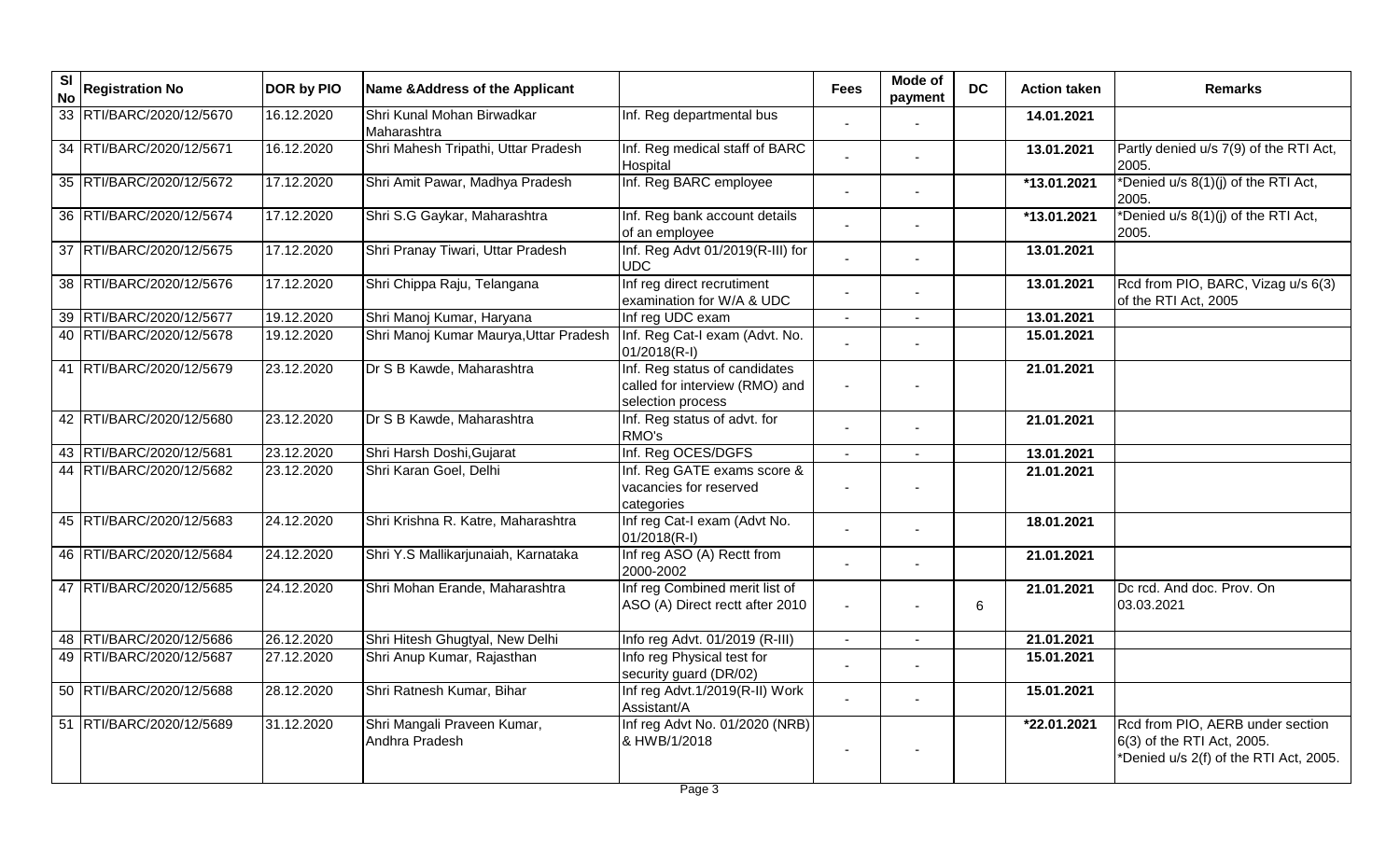| S <sub>l</sub><br><b>No</b> | <b>Registration No</b>   | DOR by PIO | Name & Address of the Applicant               |                                                                                      | <b>Fees</b> | Mode of<br>payment | <b>DC</b> | <b>Action taken</b> | <b>Remarks</b>                                                                                           |
|-----------------------------|--------------------------|------------|-----------------------------------------------|--------------------------------------------------------------------------------------|-------------|--------------------|-----------|---------------------|----------------------------------------------------------------------------------------------------------|
|                             | 33 RTI/BARC/2020/12/5670 | 16.12.2020 | Shri Kunal Mohan Birwadkar<br>Maharashtra     | Inf. Reg departmental bus                                                            |             |                    |           | 14.01.2021          |                                                                                                          |
|                             | 34 RTI/BARC/2020/12/5671 | 16.12.2020 | Shri Mahesh Tripathi, Uttar Pradesh           | Inf. Reg medical staff of BARC<br>Hospital                                           |             |                    |           | 13.01.2021          | Partly denied u/s 7(9) of the RTI Act,<br>2005.                                                          |
|                             | 35 RTI/BARC/2020/12/5672 | 17.12.2020 | Shri Amit Pawar, Madhya Pradesh               | Inf. Reg BARC employee                                                               |             |                    |           | *13.01.2021         | *Denied u/s 8(1)(j) of the RTI Act,<br>2005.                                                             |
|                             | 36 RTI/BARC/2020/12/5674 | 17.12.2020 | Shri S.G Gaykar, Maharashtra                  | Inf. Reg bank account details<br>of an employee                                      |             |                    |           | *13.01.2021         | *Denied u/s 8(1)(j) of the RTI Act,<br>2005.                                                             |
|                             | 37 RTI/BARC/2020/12/5675 | 17.12.2020 | Shri Pranay Tiwari, Uttar Pradesh             | Inf. Reg Advt 01/2019(R-III) for<br><b>UDC</b>                                       |             |                    |           | 13.01.2021          |                                                                                                          |
|                             | 38 RTI/BARC/2020/12/5676 | 17.12.2020 | Shri Chippa Raju, Telangana                   | Inf reg direct recrutiment<br>examination for W/A & UDC                              |             |                    |           | 13.01.2021          | Rcd from PIO, BARC, Vizag u/s 6(3)<br>of the RTI Act, 2005                                               |
|                             | 39 RTI/BARC/2020/12/5677 | 19.12.2020 | Shri Manoj Kumar, Haryana                     | Inf reg UDC exam                                                                     |             |                    |           | 13.01.2021          |                                                                                                          |
|                             | 40 RTI/BARC/2020/12/5678 | 19.12.2020 | Shri Manoj Kumar Maurya, Uttar Pradesh        | Inf. Reg Cat-I exam (Advt. No.<br>$01/2018(R-I)$                                     |             |                    |           | 15.01.2021          |                                                                                                          |
|                             | 41 RTI/BARC/2020/12/5679 | 23.12.2020 | Dr S B Kawde, Maharashtra                     | Inf. Reg status of candidates<br>called for interview (RMO) and<br>selection process |             |                    |           | 21.01.2021          |                                                                                                          |
|                             | 42 RTI/BARC/2020/12/5680 | 23.12.2020 | Dr S B Kawde, Maharashtra                     | Inf. Reg status of advt. for<br>RMO's                                                |             |                    |           | 21.01.2021          |                                                                                                          |
|                             | 43 RTI/BARC/2020/12/5681 | 23.12.2020 | Shri Harsh Doshi, Gujarat                     | Inf. Reg OCES/DGFS                                                                   |             |                    |           | 13.01.2021          |                                                                                                          |
|                             | 44 RTI/BARC/2020/12/5682 | 23.12.2020 | Shri Karan Goel, Delhi                        | Inf. Reg GATE exams score &<br>vacancies for reserved<br>categories                  |             |                    |           | 21.01.2021          |                                                                                                          |
|                             | 45 RTI/BARC/2020/12/5683 | 24.12.2020 | Shri Krishna R. Katre, Maharashtra            | Inf reg Cat-I exam (Advt No.<br>$01/2018(R-I)$                                       |             |                    |           | 18.01.2021          |                                                                                                          |
|                             | 46 RTI/BARC/2020/12/5684 | 24.12.2020 | Shri Y.S Mallikarjunaiah, Karnataka           | Inf reg ASO (A) Rectt from<br>2000-2002                                              |             |                    |           | 21.01.2021          |                                                                                                          |
|                             | 47 RTI/BARC/2020/12/5685 | 24.12.2020 | Shri Mohan Erande, Maharashtra                | Inf reg Combined merit list of<br>ASO (A) Direct rectt after 2010                    |             |                    | 6         | 21.01.2021          | Dc rcd. And doc. Prov. On<br>03.03.2021                                                                  |
|                             | 48 RTI/BARC/2020/12/5686 | 26.12.2020 | Shri Hitesh Ghugtyal, New Delhi               | Info reg Advt. 01/2019 (R-III)                                                       |             |                    |           | 21.01.2021          |                                                                                                          |
|                             | 49 RTI/BARC/2020/12/5687 | 27.12.2020 | Shri Anup Kumar, Rajasthan                    | Info reg Physical test for<br>security guard (DR/02)                                 |             |                    |           | 15.01.2021          |                                                                                                          |
|                             | 50 RTI/BARC/2020/12/5688 | 28.12.2020 | Shri Ratnesh Kumar, Bihar                     | Inf reg Advt.1/2019(R-II) Work<br>Assistant/A                                        |             |                    |           | 15.01.2021          |                                                                                                          |
|                             | 51 RTI/BARC/2020/12/5689 | 31.12.2020 | Shri Mangali Praveen Kumar,<br>Andhra Pradesh | Inf reg Advt No. 01/2020 (NRB)<br>& HWB/1/2018                                       |             |                    |           | *22.01.2021         | Rcd from PIO, AERB under section<br>6(3) of the RTI Act, 2005.<br>*Denied u/s 2(f) of the RTI Act, 2005. |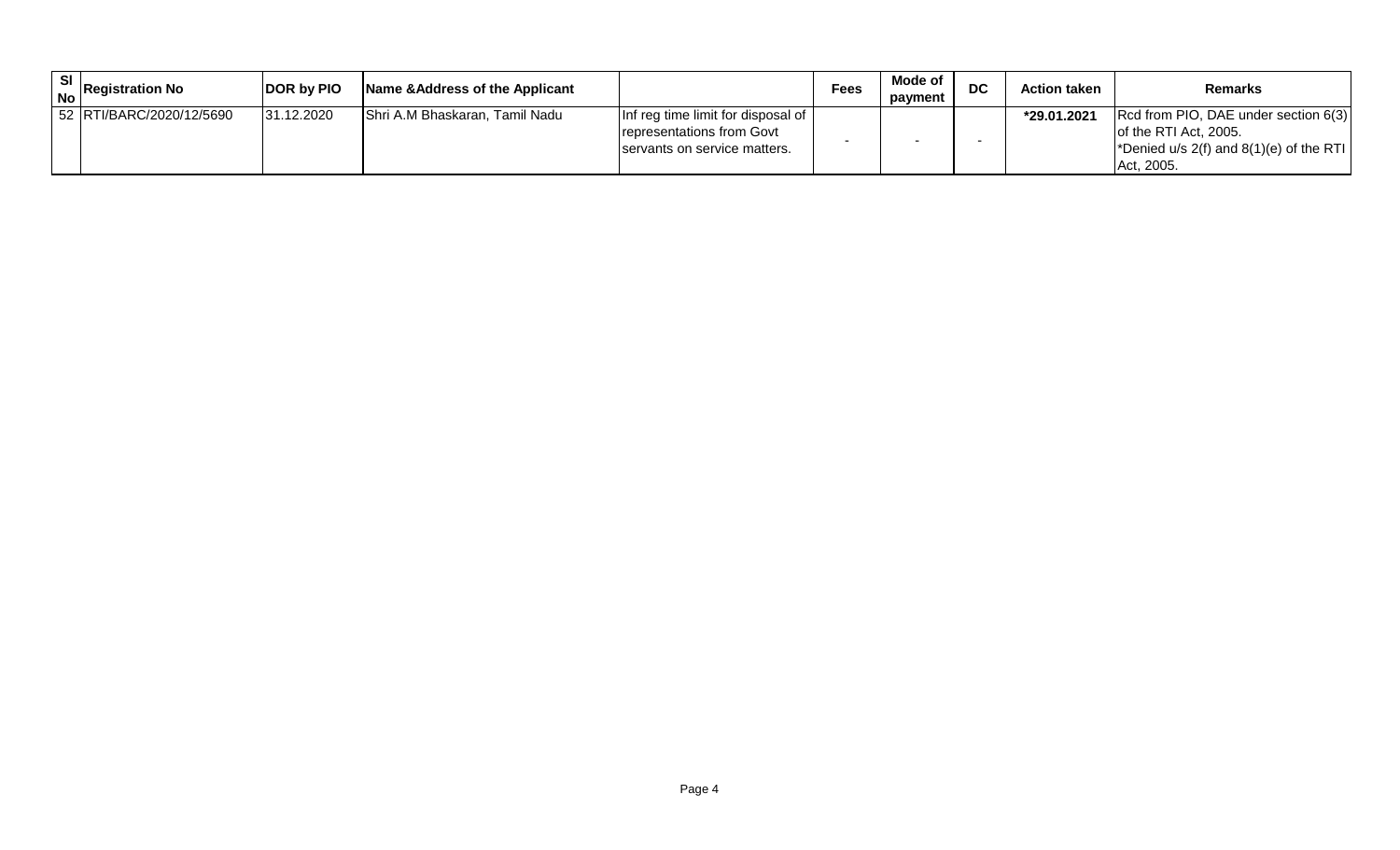| <b>SI</b> | $\log$ Registration No   | <b>DOR by PIO</b> | Name & Address of the Applicant |                                                                                                 | Fees | Mode of<br>payment | <b>DC</b> | <b>Action taken</b> | <b>Remarks</b>                                                                                                            |
|-----------|--------------------------|-------------------|---------------------------------|-------------------------------------------------------------------------------------------------|------|--------------------|-----------|---------------------|---------------------------------------------------------------------------------------------------------------------------|
|           | 52 RTI/BARC/2020/12/5690 | 31.12.2020        | Shri A.M Bhaskaran, Tamil Nadu  | Inf reg time limit for disposal of<br>representations from Govt<br>servants on service matters. |      |                    |           | *29.01.2021         | Rcd from PIO, DAE under section 6(3)<br>lof the RTI Act. 2005.<br>*Denied $u/s$ 2(f) and 8(1)(e) of the RTI<br>Act. 2005. |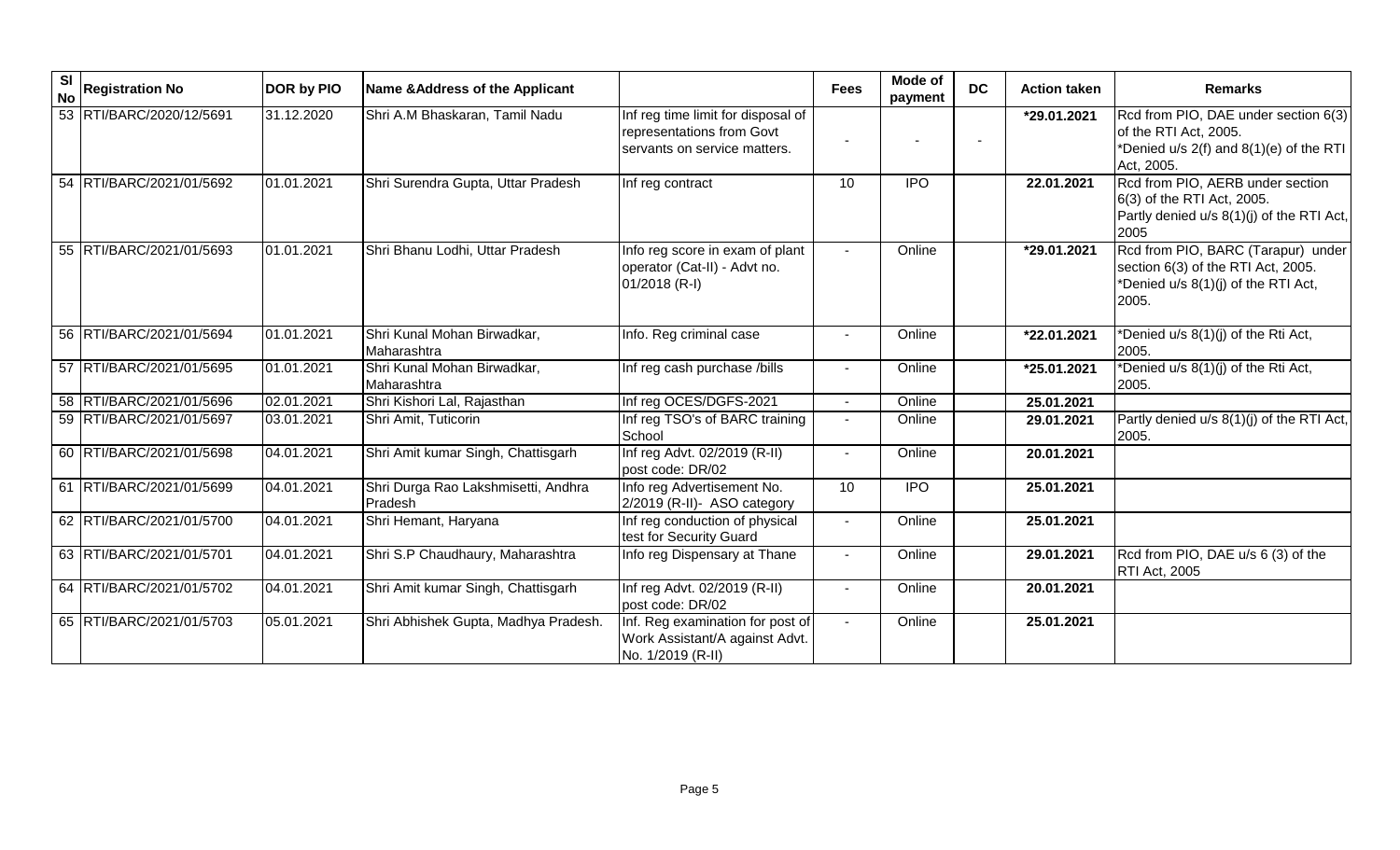| $\overline{\mathbf{s}}$<br><b>No</b> | <b>Registration No</b>   | <b>DOR by PIO</b> | Name & Address of the Applicant                |                                                                                                 | <b>Fees</b>    | Mode of<br>payment | <b>DC</b> | <b>Action taken</b> | <b>Remarks</b>                                                                                                           |
|--------------------------------------|--------------------------|-------------------|------------------------------------------------|-------------------------------------------------------------------------------------------------|----------------|--------------------|-----------|---------------------|--------------------------------------------------------------------------------------------------------------------------|
|                                      | 53 RTI/BARC/2020/12/5691 | 31.12.2020        | Shri A.M Bhaskaran, Tamil Nadu                 | Inf reg time limit for disposal of<br>representations from Govt<br>servants on service matters. |                |                    |           | *29.01.2021         | Rcd from PIO, DAE under section 6(3)<br>of the RTI Act, 2005.<br>*Denied u/s 2(f) and 8(1)(e) of the RTI<br>Act, 2005.   |
|                                      | 54 RTI/BARC/2021/01/5692 | 01.01.2021        | Shri Surendra Gupta, Uttar Pradesh             | Inf reg contract                                                                                | 10             | <b>IPO</b>         |           | 22.01.2021          | Rcd from PIO, AERB under section<br>6(3) of the RTI Act, 2005.<br>Partly denied u/s 8(1)(j) of the RTI Act,<br>2005      |
|                                      | 55 RTI/BARC/2021/01/5693 | 01.01.2021        | Shri Bhanu Lodhi, Uttar Pradesh                | Info reg score in exam of plant<br>operator (Cat-II) - Advt no.<br>01/2018 (R-I)                |                | Online             |           | *29.01.2021         | Rcd from PIO, BARC (Tarapur) under<br>section 6(3) of the RTI Act, 2005.<br>*Denied u/s 8(1)(j) of the RTI Act,<br>2005. |
|                                      | 56 RTI/BARC/2021/01/5694 | 01.01.2021        | Shri Kunal Mohan Birwadkar,<br>Maharashtra     | Info. Reg criminal case                                                                         |                | Online             |           | *22.01.2021         | *Denied u/s 8(1)(j) of the Rti Act,<br>2005.                                                                             |
|                                      | 57 RTI/BARC/2021/01/5695 | 01.01.2021        | Shri Kunal Mohan Birwadkar,<br>Maharashtra     | Inf reg cash purchase /bills                                                                    |                | Online             |           | *25.01.2021         | *Denied u/s 8(1)(j) of the Rti Act,<br>2005.                                                                             |
|                                      | 58 RTI/BARC/2021/01/5696 | 02.01.2021        | Shri Kishori Lal, Rajasthan                    | Inf reg OCES/DGFS-2021                                                                          |                | Online             |           | 25.01.2021          |                                                                                                                          |
|                                      | 59 RTI/BARC/2021/01/5697 | 03.01.2021        | Shri Amit, Tuticorin                           | Inf reg TSO's of BARC training<br>School                                                        |                | Online             |           | 29.01.2021          | Partly denied u/s 8(1)(j) of the RTI Act,<br>2005.                                                                       |
|                                      | 60 RTI/BARC/2021/01/5698 | 04.01.2021        | Shri Amit kumar Singh, Chattisgarh             | Inf reg Advt. 02/2019 (R-II)<br>post code: DR/02                                                |                | Online             |           | 20.01.2021          |                                                                                                                          |
|                                      | 61 RTI/BARC/2021/01/5699 | 04.01.2021        | Shri Durga Rao Lakshmisetti, Andhra<br>Pradesh | Info reg Advertisement No.<br>2/2019 (R-II)- ASO category                                       | 10             | <b>IPO</b>         |           | 25.01.2021          |                                                                                                                          |
|                                      | 62 RTI/BARC/2021/01/5700 | 04.01.2021        | Shri Hemant, Haryana                           | Inf reg conduction of physical<br>test for Security Guard                                       |                | Online             |           | 25.01.2021          |                                                                                                                          |
|                                      | 63 RTI/BARC/2021/01/5701 | 04.01.2021        | Shri S.P Chaudhaury, Maharashtra               | Info reg Dispensary at Thane                                                                    | $\blacksquare$ | Online             |           | 29.01.2021          | Rcd from PIO, DAE u/s 6 (3) of the<br>RTI Act, 2005                                                                      |
|                                      | 64 RTI/BARC/2021/01/5702 | 04.01.2021        | Shri Amit kumar Singh, Chattisgarh             | Inf reg Advt. 02/2019 (R-II)<br>post code: DR/02                                                |                | Online             |           | 20.01.2021          |                                                                                                                          |
|                                      | 65 RTI/BARC/2021/01/5703 | 05.01.2021        | Shri Abhishek Gupta, Madhya Pradesh.           | Inf. Reg examination for post of<br>Work Assistant/A against Advt.<br>No. 1/2019 (R-II)         |                | Online             |           | 25.01.2021          |                                                                                                                          |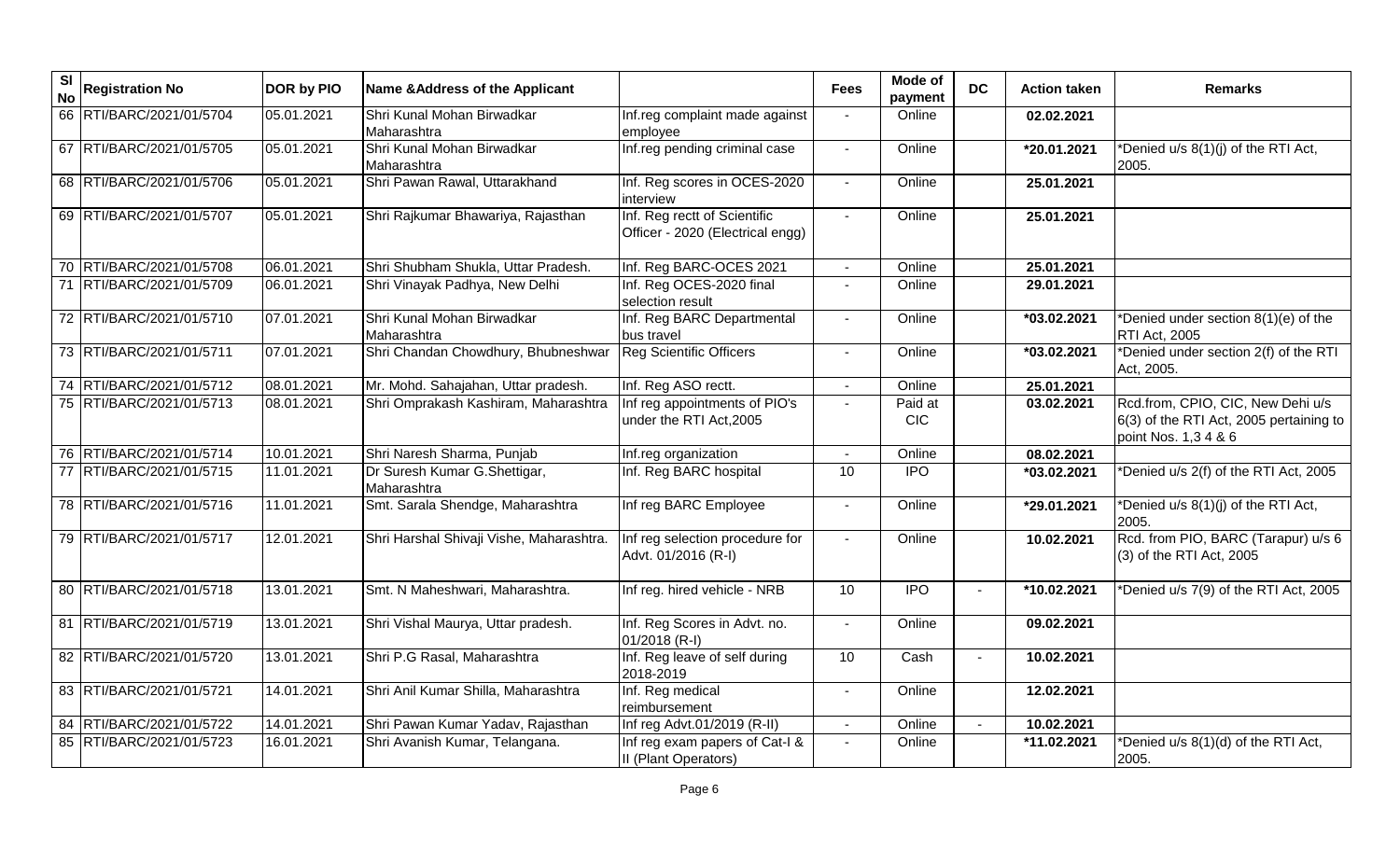| S <sub>l</sub><br><b>No</b> | <b>Registration No</b>   | DOR by PIO | Name & Address of the Applicant              |                                                                  | <b>Fees</b>              | Mode of<br>payment    | <b>DC</b>      | <b>Action taken</b>     | <b>Remarks</b>                                                                                       |
|-----------------------------|--------------------------|------------|----------------------------------------------|------------------------------------------------------------------|--------------------------|-----------------------|----------------|-------------------------|------------------------------------------------------------------------------------------------------|
|                             | 66 RTI/BARC/2021/01/5704 | 05.01.2021 | Shri Kunal Mohan Birwadkar<br>Maharashtra    | Inf.reg complaint made against<br>employee                       |                          | Online                |                | 02.02.2021              |                                                                                                      |
|                             | 67 RTI/BARC/2021/01/5705 | 05.01.2021 | Shri Kunal Mohan Birwadkar<br>Maharashtra    | Inf.reg pending criminal case                                    | $\blacksquare$           | Online                |                | $\overline{20.01.2021}$ | Denied u/s 8(1)(j) of the RTI Act,<br>2005.                                                          |
|                             | 68 RTI/BARC/2021/01/5706 | 05.01.2021 | Shri Pawan Rawal, Uttarakhand                | Inf. Reg scores in OCES-2020<br>interview                        | $\overline{\phantom{a}}$ | Online                |                | 25.01.2021              |                                                                                                      |
|                             | 69 RTI/BARC/2021/01/5707 | 05.01.2021 | Shri Rajkumar Bhawariya, Rajasthan           | Inf. Reg rectt of Scientific<br>Officer - 2020 (Electrical engg) | $\overline{a}$           | Online                |                | 25.01.2021              |                                                                                                      |
|                             | 70 RTI/BARC/2021/01/5708 | 06.01.2021 | Shri Shubham Shukla, Uttar Pradesh.          | Inf. Reg BARC-OCES 2021                                          |                          | Online                |                | 25.01.2021              |                                                                                                      |
|                             | 71 RTI/BARC/2021/01/5709 | 06.01.2021 | Shri Vinayak Padhya, New Delhi               | Inf. Reg OCES-2020 final<br>selection result                     |                          | Online                |                | 29.01.2021              |                                                                                                      |
|                             | 72 RTI/BARC/2021/01/5710 | 07.01.2021 | Shri Kunal Mohan Birwadkar<br>Maharashtra    | Inf. Reg BARC Departmental<br>bus travel                         | $\blacksquare$           | Online                |                | *03.02.2021             | *Denied under section $8(1)(e)$ of the<br><b>RTI Act, 2005</b>                                       |
|                             | 73 RTI/BARC/2021/01/5711 | 07.01.2021 | Shri Chandan Chowdhury, Bhubneshwar          | <b>Reg Scientific Officers</b>                                   |                          | Online                |                | *03.02.2021             | *Denied under section 2(f) of the RTI<br>Act, 2005.                                                  |
|                             | 74 RTI/BARC/2021/01/5712 | 08.01.2021 | Mr. Mohd. Sahajahan, Uttar pradesh.          | Inf. Reg ASO rectt.                                              |                          | Online                |                | 25.01.2021              |                                                                                                      |
|                             | 75 RTI/BARC/2021/01/5713 | 08.01.2021 | Shri Omprakash Kashiram, Maharashtra         | Inf reg appointments of PIO's<br>under the RTI Act, 2005         |                          | Paid at<br><b>CIC</b> |                | 03.02.2021              | Rcd.from, CPIO, CIC, New Dehi u/s<br>6(3) of the RTI Act, 2005 pertaining to<br>point Nos. 1,3 4 & 6 |
|                             | 76 RTI/BARC/2021/01/5714 | 10.01.2021 | Shri Naresh Sharma, Punjab                   | Inf.reg organization                                             | $\blacksquare$           | Online                |                | 08.02.2021              |                                                                                                      |
|                             | 77 RTI/BARC/2021/01/5715 | 11.01.2021 | Dr Suresh Kumar G. Shettigar,<br>Maharashtra | Inf. Reg BARC hospital                                           | 10                       | <b>IPO</b>            |                | *03.02.2021             | *Denied u/s 2(f) of the RTI Act, 2005                                                                |
|                             | 78 RTI/BARC/2021/01/5716 | 11.01.2021 | Smt. Sarala Shendge, Maharashtra             | Inf reg BARC Employee                                            | $\blacksquare$           | Online                |                | *29.01.2021             | *Denied u/s 8(1)(j) of the RTI Act,<br>2005.                                                         |
|                             | 79 RTI/BARC/2021/01/5717 | 12.01.2021 | Shri Harshal Shivaji Vishe, Maharashtra.     | Inf reg selection procedure for<br>Advt. 01/2016 (R-I)           |                          | Online                |                | 10.02.2021              | Rcd. from PIO, BARC (Tarapur) u/s 6<br>(3) of the RTI Act, 2005                                      |
|                             | 80 RTI/BARC/2021/01/5718 | 13.01.2021 | Smt. N Maheshwari, Maharashtra.              | Inf reg. hired vehicle - NRB                                     | 10                       | $\overline{1}$        |                | *10.02.2021             | *Denied u/s 7(9) of the RTI Act, 2005                                                                |
|                             | 81 RTI/BARC/2021/01/5719 | 13.01.2021 | Shri Vishal Maurya, Uttar pradesh.           | Inf. Reg Scores in Advt. no.<br>01/2018 (R-I)                    |                          | Online                |                | 09.02.2021              |                                                                                                      |
|                             | 82 RTI/BARC/2021/01/5720 | 13.01.2021 | Shri P.G Rasal, Maharashtra                  | Inf. Reg leave of self during<br>2018-2019                       | 10                       | Cash                  | $\blacksquare$ | 10.02.2021              |                                                                                                      |
|                             | 83 RTI/BARC/2021/01/5721 | 14.01.2021 | Shri Anil Kumar Shilla, Maharashtra          | Inf. Reg medical<br>reimbursement                                |                          | Online                |                | 12.02.2021              |                                                                                                      |
|                             | 84 RTI/BARC/2021/01/5722 | 14.01.2021 | Shri Pawan Kumar Yadav, Rajasthan            | Inf reg Advt.01/2019 (R-II)                                      |                          | Online                |                | 10.02.2021              |                                                                                                      |
|                             | 85 RTI/BARC/2021/01/5723 | 16.01.2021 | Shri Avanish Kumar, Telangana.               | Inf reg exam papers of Cat-I &<br>II (Plant Operators)           |                          | Online                |                | *11.02.2021             | *Denied u/s 8(1)(d) of the RTI Act,<br>2005.                                                         |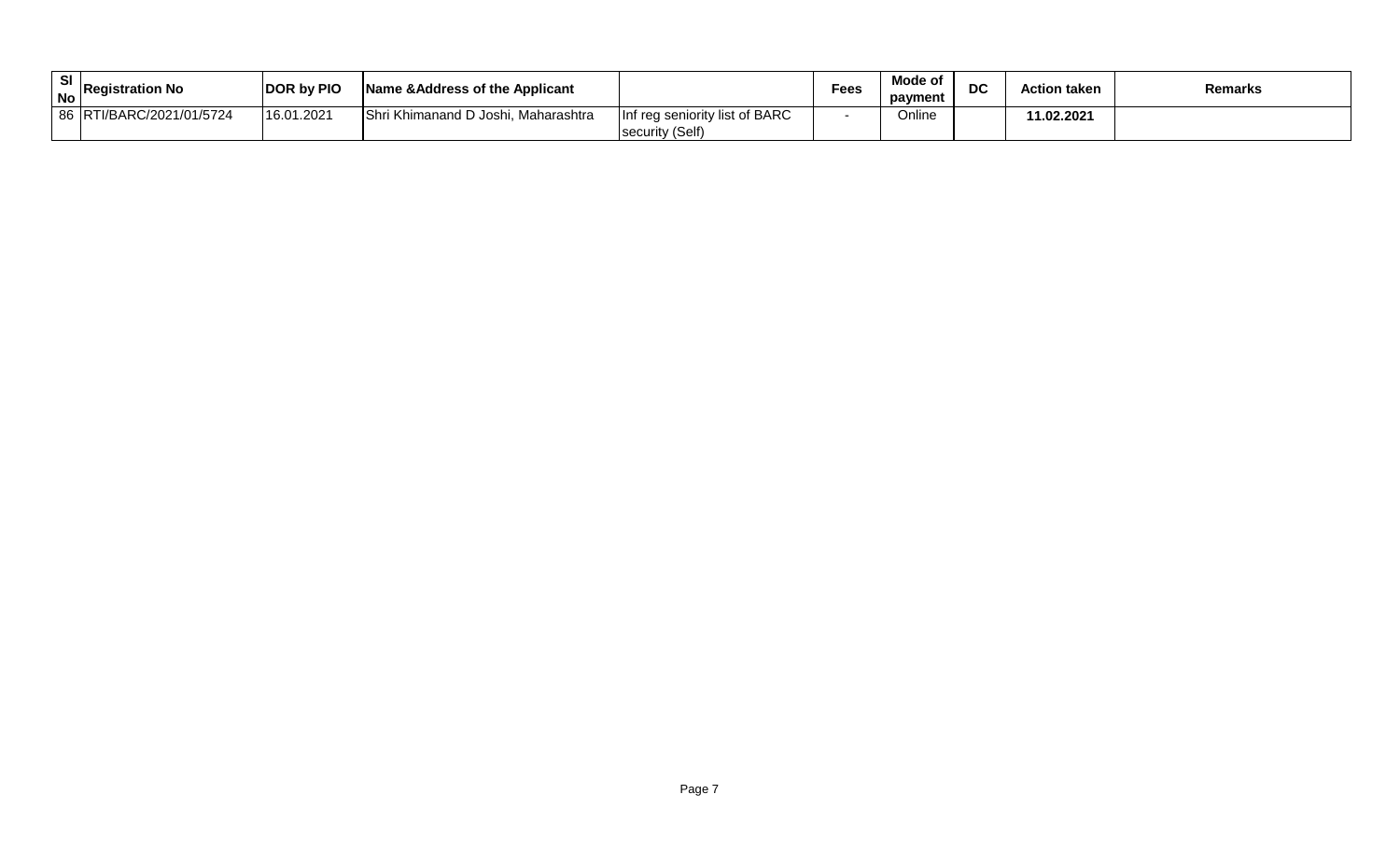| -SI | No Registration No       | <b>DOR by PIO</b> | Name & Address of the Applicant     |                                                   | <b>Fees</b> | Mode of<br>payment | DC | <b>Action taken</b> | <b>Remarks</b> |
|-----|--------------------------|-------------------|-------------------------------------|---------------------------------------------------|-------------|--------------------|----|---------------------|----------------|
|     | 86 RTI/BARC/2021/01/5724 | 16.01.2021        | Shri Khimanand D Joshi, Maharashtra | Inf reg seniority list of BARC<br>security (Self) |             | Online             |    | 11.02.2021          |                |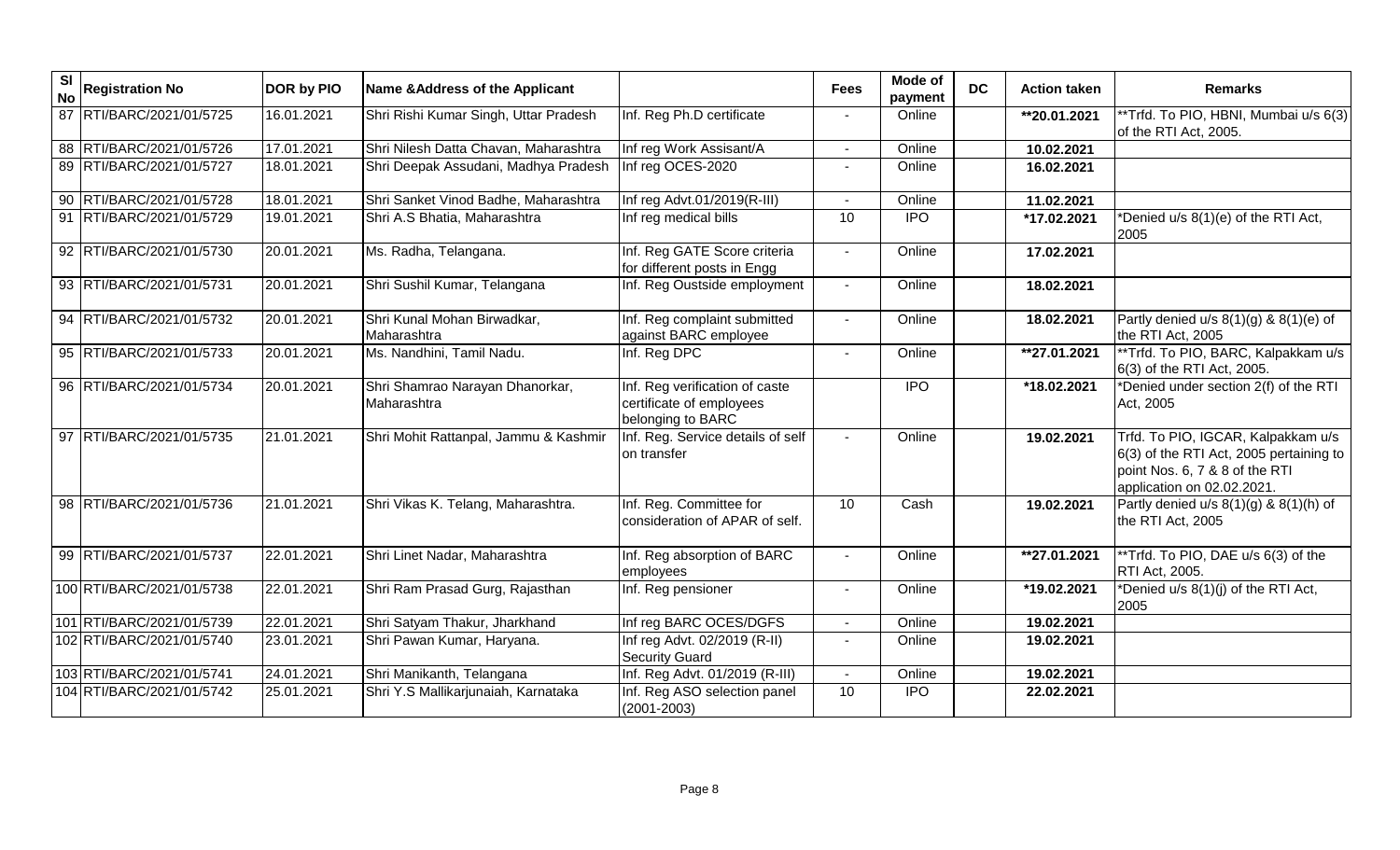| $\overline{\mathbf{s}}$<br><b>No</b> | <b>Registration No</b>    | DOR by PIO | Name & Address of the Applicant                |                                                                                 | <b>Fees</b>     | Mode of<br>payment | <b>DC</b> | <b>Action taken</b> | <b>Remarks</b>                                                                                                                                |
|--------------------------------------|---------------------------|------------|------------------------------------------------|---------------------------------------------------------------------------------|-----------------|--------------------|-----------|---------------------|-----------------------------------------------------------------------------------------------------------------------------------------------|
|                                      | 87 RTI/BARC/2021/01/5725  | 16.01.2021 | Shri Rishi Kumar Singh, Uttar Pradesh          | Inf. Reg Ph.D certificate                                                       |                 | Online             |           | **20.01.2021        | *Trfd. To PIO, HBNI, Mumbai u/s 6(3)<br>of the RTI Act, 2005.                                                                                 |
|                                      | 88 RTI/BARC/2021/01/5726  | 17.01.2021 | Shri Nilesh Datta Chavan, Maharashtra          | Inf reg Work Assisant/A                                                         | $\blacksquare$  | Online             |           | 10.02.2021          |                                                                                                                                               |
|                                      | 89 RTI/BARC/2021/01/5727  | 18.01.2021 | Shri Deepak Assudani, Madhya Pradesh           | Inf reg OCES-2020                                                               |                 | Online             |           | 16.02.2021          |                                                                                                                                               |
|                                      | 90 RTI/BARC/2021/01/5728  | 18.01.2021 | Shri Sanket Vinod Badhe, Maharashtra           | Inf reg Advt.01/2019(R-III)                                                     |                 | Online             |           | 11.02.2021          |                                                                                                                                               |
|                                      | 91 RTI/BARC/2021/01/5729  | 19.01.2021 | Shri A.S Bhatia, Maharashtra                   | Inf reg medical bills                                                           | 10              | <b>IPO</b>         |           | *17.02.2021         | *Denied u/s 8(1)(e) of the RTI Act,<br>2005                                                                                                   |
|                                      | 92 RTI/BARC/2021/01/5730  | 20.01.2021 | Ms. Radha, Telangana.                          | Inf. Reg GATE Score criteria<br>for different posts in Engg                     |                 | Online             |           | 17.02.2021          |                                                                                                                                               |
|                                      | 93 RTI/BARC/2021/01/5731  | 20.01.2021 | Shri Sushil Kumar, Telangana                   | Inf. Reg Oustside employment                                                    |                 | Online             |           | 18.02.2021          |                                                                                                                                               |
|                                      | 94 RTI/BARC/2021/01/5732  | 20.01.2021 | Shri Kunal Mohan Birwadkar,<br>Maharashtra     | Inf. Reg complaint submitted<br>against BARC employee                           |                 | Online             |           | 18.02.2021          | Partly denied $u/s$ 8(1)(g) & 8(1)(e) of<br>the RTI Act, 2005                                                                                 |
|                                      | 95 RTI/BARC/2021/01/5733  | 20.01.2021 | Ms. Nandhini, Tamil Nadu.                      | Inf. Reg DPC                                                                    |                 | Online             |           | **27.01.2021        | **Trfd. To PIO, BARC, Kalpakkam u/s<br>6(3) of the RTI Act, 2005.                                                                             |
|                                      | 96 RTI/BARC/2021/01/5734  | 20.01.2021 | Shri Shamrao Narayan Dhanorkar,<br>Maharashtra | Inf. Reg verification of caste<br>certificate of employees<br>belonging to BARC |                 | <b>IPO</b>         |           | *18.02.2021         | *Denied under section 2(f) of the RTI<br>Act, 2005                                                                                            |
|                                      | 97 RTI/BARC/2021/01/5735  | 21.01.2021 | Shri Mohit Rattanpal, Jammu & Kashmir          | Inf. Reg. Service details of self<br>on transfer                                |                 | Online             |           | 19.02.2021          | Trfd. To PIO, IGCAR, Kalpakkam u/s<br>6(3) of the RTI Act, 2005 pertaining to<br>point Nos. 6, 7 & 8 of the RTI<br>application on 02.02.2021. |
|                                      | 98 RTI/BARC/2021/01/5736  | 21.01.2021 | Shri Vikas K. Telang, Maharashtra.             | Inf. Reg. Committee for<br>consideration of APAR of self.                       | 10              | Cash               |           | 19.02.2021          | Partly denied $u/s$ 8(1)(g) & 8(1)(h) of<br>the RTI Act, 2005                                                                                 |
|                                      | 99 RTI/BARC/2021/01/5737  | 22.01.2021 | Shri Linet Nadar, Maharashtra                  | Inf. Reg absorption of BARC<br>employees                                        |                 | Online             |           | **27.01.2021        | **Trfd. To PIO, DAE u/s 6(3) of the<br>RTI Act, 2005.                                                                                         |
|                                      | 100 RTI/BARC/2021/01/5738 | 22.01.2021 | Shri Ram Prasad Gurg, Rajasthan                | Inf. Reg pensioner                                                              |                 | Online             |           | *19.02.2021         | *Denied u/s 8(1)(j) of the RTI Act,<br>2005                                                                                                   |
|                                      | 101 RTI/BARC/2021/01/5739 | 22.01.2021 | Shri Satyam Thakur, Jharkhand                  | Inf reg BARC OCES/DGFS                                                          |                 | Online             |           | 19.02.2021          |                                                                                                                                               |
|                                      | 102 RTI/BARC/2021/01/5740 | 23.01.2021 | Shri Pawan Kumar, Haryana.                     | Inf reg Advt. 02/2019 (R-II)<br><b>Security Guard</b>                           |                 | Online             |           | 19.02.2021          |                                                                                                                                               |
|                                      | 103 RTI/BARC/2021/01/5741 | 24.01.2021 | Shri Manikanth, Telangana                      | Inf. Reg Advt. 01/2019 (R-III)                                                  |                 | Online             |           | 19.02.2021          |                                                                                                                                               |
|                                      | 104 RTI/BARC/2021/01/5742 | 25.01.2021 | Shri Y.S Mallikarjunaiah, Karnataka            | Inf. Reg ASO selection panel<br>$(2001 - 2003)$                                 | $\overline{10}$ | $\overline{1}$     |           | 22.02.2021          |                                                                                                                                               |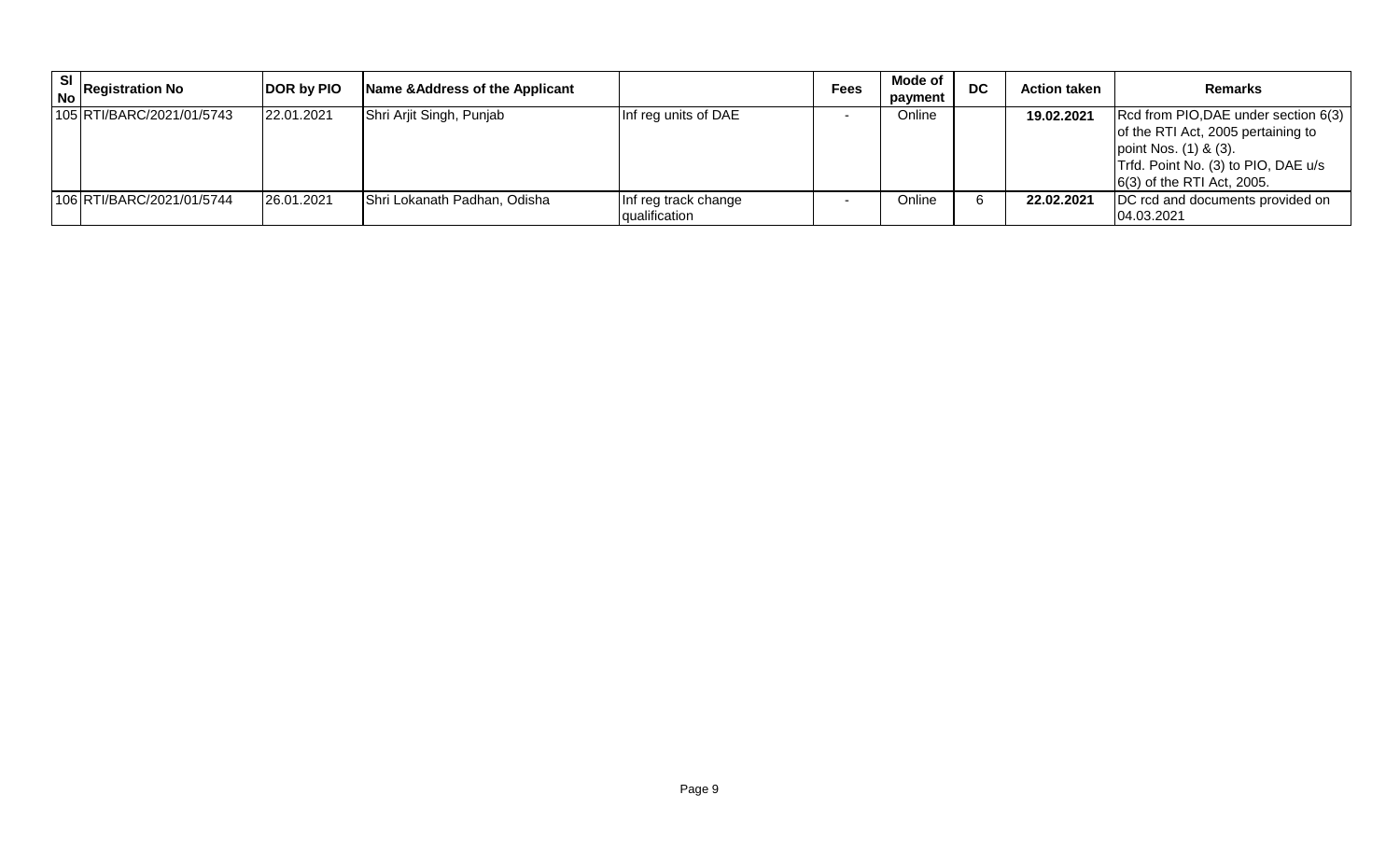| SI | $\vert$ No Registration No | <b>DOR by PIO</b> | Name & Address of the Applicant |                                       | <b>Fees</b> | Mode of<br>payment | <b>DC</b> | <b>Action taken</b> | <b>Remarks</b>                                                                                                                                                              |
|----|----------------------------|-------------------|---------------------------------|---------------------------------------|-------------|--------------------|-----------|---------------------|-----------------------------------------------------------------------------------------------------------------------------------------------------------------------------|
|    | 105 RTI/BARC/2021/01/5743  | 22.01.2021        | Shri Arjit Singh, Punjab        | Inf reg units of DAE                  |             | Online             |           | 19.02.2021          | Rcd from PIO, DAE under section 6(3)<br>of the RTI Act, 2005 pertaining to<br>point Nos. (1) & (3).<br>Trfd. Point No. (3) to PIO, DAE u/s<br>$(6(3)$ of the RTI Act, 2005. |
|    | 106 RTI/BARC/2021/01/5744  | 26.01.2021        | Shri Lokanath Padhan, Odisha    | Inf reg track change<br>qualification |             | Online             |           | 22.02.2021          | DC rcd and documents provided on<br>04.03.2021                                                                                                                              |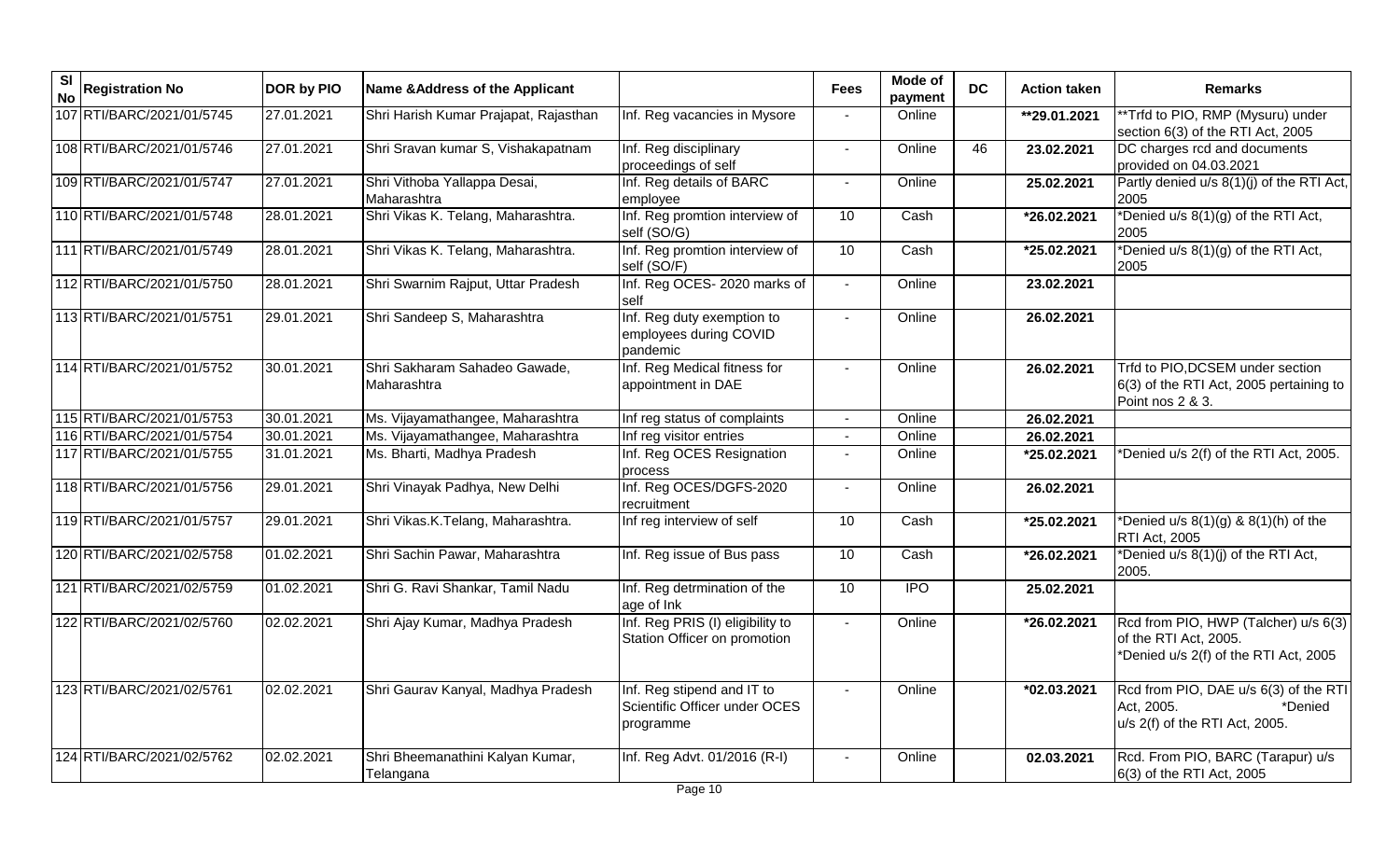| $\overline{\mathbf{s}}$<br><b>No</b> | <b>Registration No</b>    | DOR by PIO | Name & Address of the Applicant               |                                                                          | <b>Fees</b>              | Mode of<br>payment | <b>DC</b> | <b>Action taken</b> | <b>Remarks</b>                                                                                         |
|--------------------------------------|---------------------------|------------|-----------------------------------------------|--------------------------------------------------------------------------|--------------------------|--------------------|-----------|---------------------|--------------------------------------------------------------------------------------------------------|
|                                      | 107 RTI/BARC/2021/01/5745 | 27.01.2021 | Shri Harish Kumar Prajapat, Rajasthan         | Inf. Reg vacancies in Mysore                                             |                          | Online             |           | **29.01.2021        | **Trfd to PIO, RMP (Mysuru) under<br>section 6(3) of the RTI Act, 2005                                 |
|                                      | 108 RTI/BARC/2021/01/5746 | 27.01.2021 | Shri Sravan kumar S, Vishakapatnam            | Inf. Reg disciplinary<br>proceedings of self                             | $\blacksquare$           | Online             | 46        | 23.02.2021          | DC charges rcd and documents<br>provided on 04.03.2021                                                 |
|                                      | 109 RTI/BARC/2021/01/5747 | 27.01.2021 | Shri Vithoba Yallappa Desai,<br>Maharashtra   | Inf. Reg details of BARC<br>employee                                     |                          | Online             |           | 25.02.2021          | Partly denied u/s 8(1)(j) of the RTI Act,<br>2005                                                      |
|                                      | 110 RTI/BARC/2021/01/5748 | 28.01.2021 | Shri Vikas K. Telang, Maharashtra.            | Inf. Reg promtion interview of<br>self (SO/G)                            | 10                       | Cash               |           | *26.02.2021         | *Denied u/s 8(1)(g) of the RTI Act,<br>2005                                                            |
|                                      | 111 RTI/BARC/2021/01/5749 | 28.01.2021 | Shri Vikas K. Telang, Maharashtra.            | Inf. Reg promtion interview of<br>self (SO/F)                            | 10                       | Cash               |           | *25.02.2021         | *Denied u/s 8(1)(g) of the RTI Act,<br>2005                                                            |
|                                      | 112 RTI/BARC/2021/01/5750 | 28.01.2021 | Shri Swarnim Rajput, Uttar Pradesh            | Inf. Reg OCES- 2020 marks of<br>self                                     | $\overline{\phantom{a}}$ | Online             |           | 23.02.2021          |                                                                                                        |
|                                      | 113 RTI/BARC/2021/01/5751 | 29.01.2021 | Shri Sandeep S, Maharashtra                   | Inf. Reg duty exemption to<br>employees during COVID<br>pandemic         |                          | Online             |           | 26.02.2021          |                                                                                                        |
|                                      | 114 RTI/BARC/2021/01/5752 | 30.01.2021 | Shri Sakharam Sahadeo Gawade,<br>Maharashtra  | Inf. Reg Medical fitness for<br>appointment in DAE                       |                          | Online             |           | 26.02.2021          | Trfd to PIO, DCSEM under section<br>6(3) of the RTI Act, 2005 pertaining to<br>Point nos 2 & 3.        |
|                                      | 115 RTI/BARC/2021/01/5753 | 30.01.2021 | Ms. Vijayamathangee, Maharashtra              | Inf reg status of complaints                                             |                          | Online             |           | 26.02.2021          |                                                                                                        |
|                                      | 116 RTI/BARC/2021/01/5754 | 30.01.2021 | Ms. Vijayamathangee, Maharashtra              | Inf reg visitor entries                                                  |                          | Online             |           | 26.02.2021          |                                                                                                        |
|                                      | 117 RTI/BARC/2021/01/5755 | 31.01.2021 | Ms. Bharti, Madhya Pradesh                    | Inf. Reg OCES Resignation<br>process                                     |                          | Online             |           | *25.02.2021         | *Denied u/s 2(f) of the RTI Act, 2005.                                                                 |
|                                      | 118 RTI/BARC/2021/01/5756 | 29.01.2021 | Shri Vinayak Padhya, New Delhi                | Inf. Reg OCES/DGFS-2020<br>recruitment                                   |                          | Online             |           | 26.02.2021          |                                                                                                        |
|                                      | 119 RTI/BARC/2021/01/5757 | 29.01.2021 | Shri Vikas.K.Telang, Maharashtra.             | Inf reg interview of self                                                | 10                       | Cash               |           | *25.02.2021         | *Denied u/s $8(1)(g)$ & $8(1)(h)$ of the<br>RTI Act, 2005                                              |
|                                      | 120 RTI/BARC/2021/02/5758 | 01.02.2021 | Shri Sachin Pawar, Maharashtra                | Inf. Reg issue of Bus pass                                               | 10                       | Cash               |           | *26.02.2021         | *Denied u/s 8(1)(j) of the RTI Act,<br>2005.                                                           |
|                                      | 121 RTI/BARC/2021/02/5759 | 01.02.2021 | Shri G. Ravi Shankar, Tamil Nadu              | Inf. Reg detrmination of the<br>age of Ink                               | $\overline{10}$          | $\overline{1}$     |           | 25.02.2021          |                                                                                                        |
|                                      | 122 RTI/BARC/2021/02/5760 | 02.02.2021 | Shri Ajay Kumar, Madhya Pradesh               | Inf. Reg PRIS (I) eligibility to<br>Station Officer on promotion         |                          | Online             |           | *26.02.2021         | Rcd from PIO, HWP (Talcher) u/s 6(3)<br>of the RTI Act, 2005.<br>*Denied u/s 2(f) of the RTI Act, 2005 |
|                                      | 123 RTI/BARC/2021/02/5761 | 02.02.2021 | Shri Gaurav Kanyal, Madhya Pradesh            | Inf. Reg stipend and IT to<br>Scientific Officer under OCES<br>programme | $\overline{a}$           | Online             |           | *02.03.2021         | Rcd from PIO, DAE u/s 6(3) of the RTI<br>Act, 2005.<br>*Denied<br>u/s 2(f) of the RTI Act, 2005.       |
|                                      | 124 RTI/BARC/2021/02/5762 | 02.02.2021 | Shri Bheemanathini Kalyan Kumar,<br>Telangana | Inf. Reg Advt. 01/2016 (R-I)                                             |                          | Online             |           | 02.03.2021          | Rcd. From PIO, BARC (Tarapur) u/s<br>6(3) of the RTI Act, 2005                                         |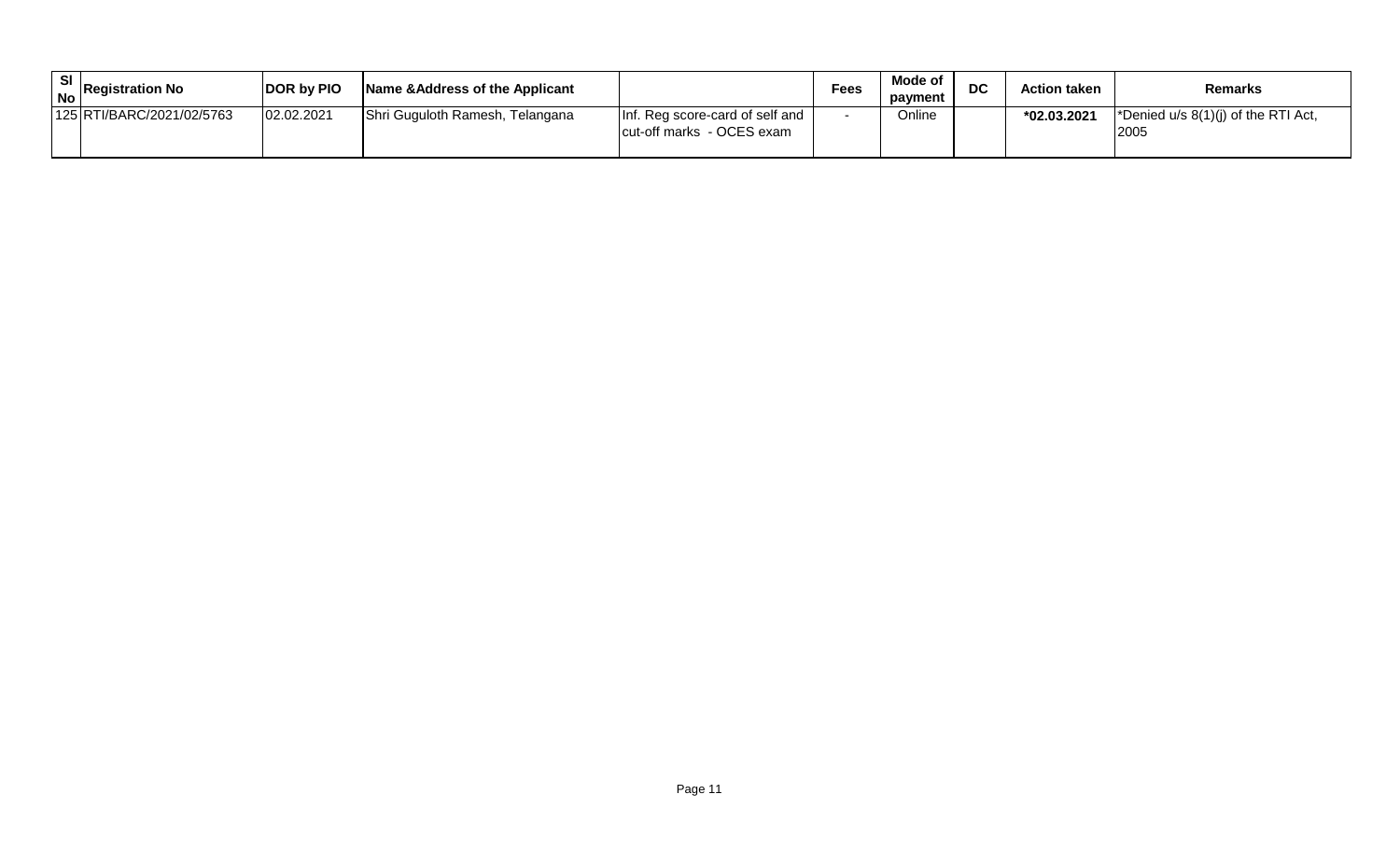| <b>SI</b> | $\frac{6}{1}$ No Registration No | <b>DOR by PIO</b> | Name & Address of the Applicant |                                                              | <b>Fees</b> | Mode of<br>payment | DC | <b>Action taken</b> | <b>Remarks</b>                                                  |
|-----------|----------------------------------|-------------------|---------------------------------|--------------------------------------------------------------|-------------|--------------------|----|---------------------|-----------------------------------------------------------------|
|           | 125 RTI/BARC/2021/02/5763        | 02.02.2021        | Shri Guguloth Ramesh, Telangana | Inf. Reg score-card of self and<br>cut-off marks - OCES exam |             | Online             |    | *02.03.2021         | <i>*Denied u/s <math>8(1)(j)</math> of the RTI Act,</i><br>2005 |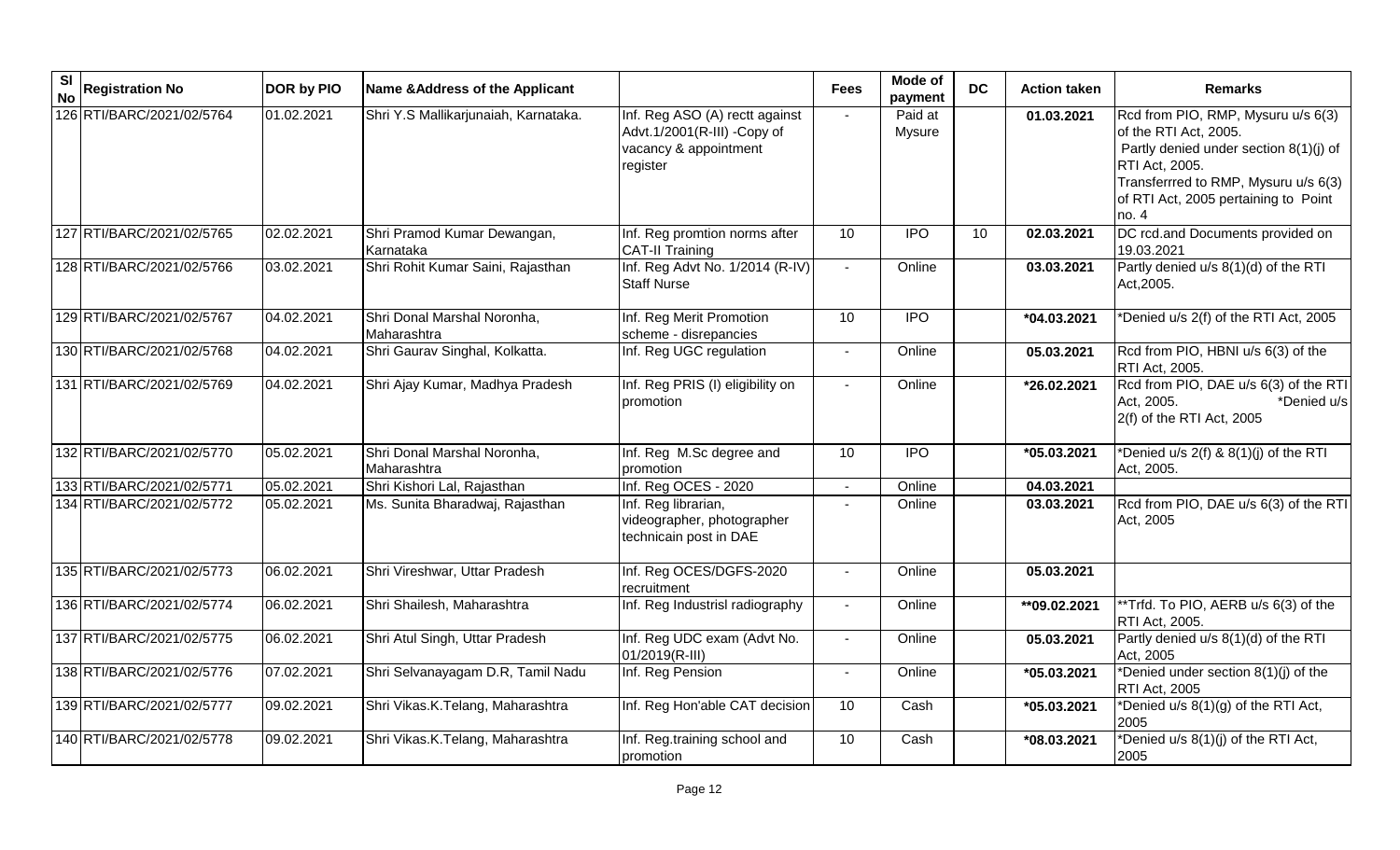| <b>SI</b><br><b>No</b> | <b>Registration No</b>    | <b>DOR by PIO</b> | Name & Address of the Applicant            |                                                                                                    | <b>Fees</b>     | Mode of<br>payment | <b>DC</b>       | <b>Action taken</b> | <b>Remarks</b>                                                                                                                                                                                                  |
|------------------------|---------------------------|-------------------|--------------------------------------------|----------------------------------------------------------------------------------------------------|-----------------|--------------------|-----------------|---------------------|-----------------------------------------------------------------------------------------------------------------------------------------------------------------------------------------------------------------|
|                        | 126 RTI/BARC/2021/02/5764 | 01.02.2021        | Shri Y.S Mallikarjunaiah, Karnataka.       | Inf. Reg ASO (A) rectt against<br>Advt.1/2001(R-III) -Copy of<br>vacancy & appointment<br>register |                 | Paid at<br>Mysure  |                 | 01.03.2021          | Rcd from PIO, RMP, Mysuru u/s 6(3)<br>of the RTI Act, 2005.<br>Partly denied under section 8(1)(j) of<br>RTI Act, 2005.<br>Transferrred to RMP, Mysuru u/s 6(3)<br>of RTI Act, 2005 pertaining to Point<br>no.4 |
|                        | 127 RTI/BARC/2021/02/5765 | 02.02.2021        | Shri Pramod Kumar Dewangan,<br>Karnataka   | Inf. Reg promtion norms after<br><b>CAT-II Training</b>                                            | $\overline{10}$ | <b>IPO</b>         | $\overline{10}$ | 02.03.2021          | DC rcd.and Documents provided on<br>19.03.2021                                                                                                                                                                  |
|                        | 128 RTI/BARC/2021/02/5766 | 03.02.2021        | Shri Rohit Kumar Saini, Rajasthan          | Inf. Reg Advt No. 1/2014 (R-IV)<br><b>Staff Nurse</b>                                              | $\sim$          | Online             |                 | 03.03.2021          | Partly denied u/s 8(1)(d) of the RTI<br>Act, 2005.                                                                                                                                                              |
|                        | 129 RTI/BARC/2021/02/5767 | 04.02.2021        | Shri Donal Marshal Noronha,<br>Maharashtra | Inf. Reg Merit Promotion<br>scheme - disrepancies                                                  | 10              | <b>IPO</b>         |                 | $*04.03.2021$       | *Denied u/s 2(f) of the RTI Act, 2005                                                                                                                                                                           |
|                        | 130 RTI/BARC/2021/02/5768 | 04.02.2021        | Shri Gaurav Singhal, Kolkatta.             | Inf. Reg UGC regulation                                                                            |                 | Online             |                 | 05.03.2021          | Rcd from PIO, HBNI u/s 6(3) of the<br>RTI Act, 2005.                                                                                                                                                            |
|                        | 131 RTI/BARC/2021/02/5769 | 04.02.2021        | Shri Ajay Kumar, Madhya Pradesh            | Inf. Reg PRIS (I) eligibility on<br>promotion                                                      |                 | Online             |                 | *26.02.2021         | Rcd from PIO, DAE u/s 6(3) of the RTI<br>Act, 2005.<br>*Denied u/s<br>2(f) of the RTI Act, 2005                                                                                                                 |
|                        | 132 RTI/BARC/2021/02/5770 | 05.02.2021        | Shri Donal Marshal Noronha,<br>Maharashtra | Inf. Reg M.Sc degree and<br>promotion                                                              | 10              | IPO                |                 | *05.03.2021         | *Denied u/s $2(f)$ & $8(1)(j)$ of the RTI<br>Act, 2005.                                                                                                                                                         |
|                        | 133 RTI/BARC/2021/02/5771 | 05.02.2021        | Shri Kishori Lal, Rajasthan                | Inf. Reg OCES - 2020                                                                               | $\sim$          | Online             |                 | 04.03.2021          |                                                                                                                                                                                                                 |
|                        | 134 RTI/BARC/2021/02/5772 | 05.02.2021        | Ms. Sunita Bharadwaj, Rajasthan            | Inf. Reg librarian,<br>videographer, photographer<br>technicain post in DAE                        |                 | Online             |                 | 03.03.2021          | Rcd from PIO, DAE u/s 6(3) of the RTI<br>Act, 2005                                                                                                                                                              |
|                        | 135 RTI/BARC/2021/02/5773 | 06.02.2021        | Shri Vireshwar, Uttar Pradesh              | Inf. Reg OCES/DGFS-2020<br>recruitment                                                             |                 | Online             |                 | 05.03.2021          |                                                                                                                                                                                                                 |
|                        | 136 RTI/BARC/2021/02/5774 | 06.02.2021        | Shri Shailesh, Maharashtra                 | Inf. Reg Industrisl radiography                                                                    | $\blacksquare$  | Online             |                 | $*$ 09.02.2021      | **Trfd. To PIO, AERB u/s 6(3) of the<br>RTI Act, 2005.                                                                                                                                                          |
|                        | 137 RTI/BARC/2021/02/5775 | 06.02.2021        | Shri Atul Singh, Uttar Pradesh             | Inf. Reg UDC exam (Advt No.<br>01/2019(R-III)                                                      | $\blacksquare$  | Online             |                 | 05.03.2021          | Partly denied u/s 8(1)(d) of the RTI<br>Act, 2005                                                                                                                                                               |
|                        | 138 RTI/BARC/2021/02/5776 | 07.02.2021        | Shri Selvanayagam D.R, Tamil Nadu          | Inf. Reg Pension                                                                                   | $\blacksquare$  | Online             |                 | $*05.03.2021$       | *Denied under section 8(1)(j) of the<br>RTI Act, 2005                                                                                                                                                           |
|                        | 139 RTI/BARC/2021/02/5777 | 09.02.2021        | Shri Vikas.K.Telang, Maharashtra           | Inf. Reg Hon'able CAT decision                                                                     | 10              | Cash               |                 | *05.03.2021         | *Denied u/s 8(1)(g) of the RTI Act,<br>2005                                                                                                                                                                     |
|                        | 140 RTI/BARC/2021/02/5778 | 09.02.2021        | Shri Vikas.K.Telang, Maharashtra           | Inf. Reg.training school and<br>promotion                                                          | 10              | Cash               |                 | *08.03.2021         | *Denied u/s 8(1)(j) of the RTI Act,<br>2005                                                                                                                                                                     |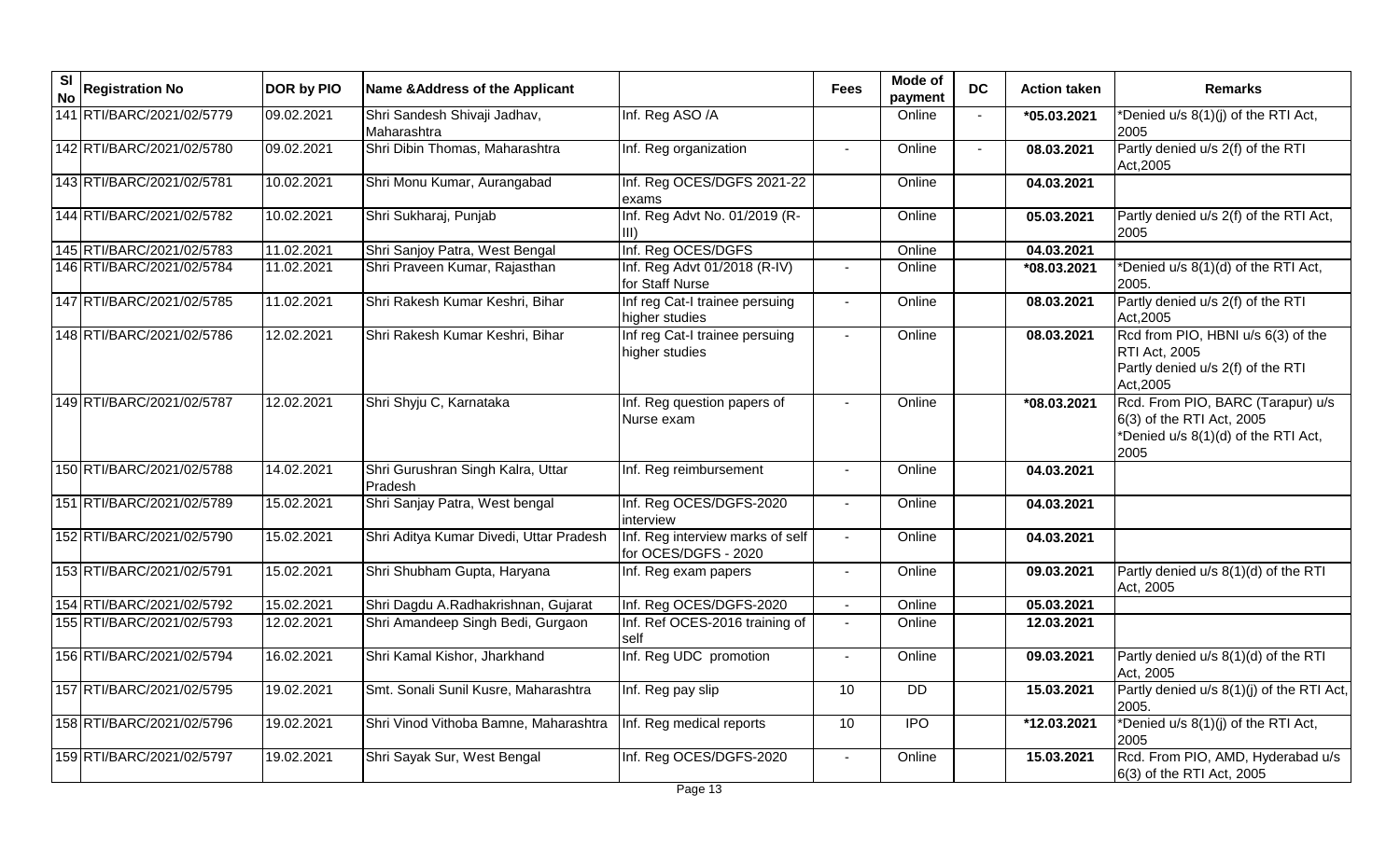| <b>SI</b><br><b>No</b> | <b>Registration No</b>    | <b>DOR by PIO</b> | Name & Address of the Applicant              |                                                          | <b>Fees</b>    | Mode of<br>payment | <b>DC</b>      | <b>Action taken</b> | <b>Remarks</b>                                                                                                |
|------------------------|---------------------------|-------------------|----------------------------------------------|----------------------------------------------------------|----------------|--------------------|----------------|---------------------|---------------------------------------------------------------------------------------------------------------|
|                        | 141 RTI/BARC/2021/02/5779 | 09.02.2021        | Shri Sandesh Shivaji Jadhav,<br>Maharashtra  | Inf. Reg ASO /A                                          |                | Online             |                | *05.03.2021         | *Denied u/s 8(1)(j) of the RTI Act,<br>2005                                                                   |
|                        | 142 RTI/BARC/2021/02/5780 | 09.02.2021        | Shri Dibin Thomas, Maharashtra               | Inf. Reg organization                                    | $\blacksquare$ | Online             | $\blacksquare$ | 08.03.2021          | Partly denied u/s 2(f) of the RTI<br>Act, 2005                                                                |
|                        | 143 RTI/BARC/2021/02/5781 | 10.02.2021        | Shri Monu Kumar, Aurangabad                  | Inf. Reg OCES/DGFS 2021-22<br>exams                      |                | Online             |                | 04.03.2021          |                                                                                                               |
|                        | 144 RTI/BARC/2021/02/5782 | 10.02.2021        | Shri Sukharaj, Punjab                        | Inf. Reg Advt No. 01/2019 (R-                            |                | Online             |                | 05.03.2021          | Partly denied u/s 2(f) of the RTI Act,<br>2005                                                                |
|                        | 145 RTI/BARC/2021/02/5783 | 11.02.2021        | Shri Sanjoy Patra, West Bengal               | Inf. Reg OCES/DGFS                                       |                | Online             |                | 04.03.2021          |                                                                                                               |
|                        | 146 RTI/BARC/2021/02/5784 | 11.02.2021        | Shri Praveen Kumar, Rajasthan                | Inf. Reg Advt 01/2018 (R-IV)<br>for Staff Nurse          |                | Online             |                | *08.03.2021         | *Denied u/s 8(1)(d) of the RTI Act,<br>2005.                                                                  |
|                        | 147 RTI/BARC/2021/02/5785 | 11.02.2021        | Shri Rakesh Kumar Keshri, Bihar              | Inf reg Cat-I trainee persuing<br>higher studies         |                | Online             |                | 08.03.2021          | Partly denied u/s 2(f) of the RTI<br>Act, 2005                                                                |
|                        | 148 RTI/BARC/2021/02/5786 | 12.02.2021        | Shri Rakesh Kumar Keshri, Bihar              | Inf reg Cat-I trainee persuing<br>nigher studies         |                | Online             |                | 08.03.2021          | Rcd from PIO, HBNI u/s 6(3) of the<br><b>RTI Act, 2005</b><br>Partly denied u/s 2(f) of the RTI<br>Act, 2005  |
|                        | 149 RTI/BARC/2021/02/5787 | 12.02.2021        | Shri Shyju C, Karnataka                      | Inf. Reg question papers of<br>Nurse exam                |                | Online             |                | *08.03.2021         | Rcd. From PIO, BARC (Tarapur) u/s<br>6(3) of the RTI Act, 2005<br>*Denied u/s 8(1)(d) of the RTI Act,<br>2005 |
|                        | 150 RTI/BARC/2021/02/5788 | 14.02.2021        | Shri Gurushran Singh Kalra, Uttar<br>Pradesh | Inf. Reg reimbursement                                   |                | Online             |                | 04.03.2021          |                                                                                                               |
|                        | 151 RTI/BARC/2021/02/5789 | 15.02.2021        | Shri Sanjay Patra, West bengal               | Inf. Reg OCES/DGFS-2020<br>interview                     | $\blacksquare$ | Online             |                | 04.03.2021          |                                                                                                               |
|                        | 152 RTI/BARC/2021/02/5790 | 15.02.2021        | Shri Aditya Kumar Divedi, Uttar Pradesh      | Inf. Reg interview marks of self<br>for OCES/DGFS - 2020 | $\sim$         | Online             |                | 04.03.2021          |                                                                                                               |
|                        | 153 RTI/BARC/2021/02/5791 | 15.02.2021        | Shri Shubham Gupta, Haryana                  | Inf. Reg exam papers                                     | $\sim$         | Online             |                | 09.03.2021          | Partly denied u/s 8(1)(d) of the RTI<br>Act, 2005                                                             |
|                        | 154 RTI/BARC/2021/02/5792 | 15.02.2021        | Shri Dagdu A.Radhakrishnan, Gujarat          | Inf. Reg OCES/DGFS-2020                                  |                | Online             |                | 05.03.2021          |                                                                                                               |
|                        | 155 RTI/BARC/2021/02/5793 | 12.02.2021        | Shri Amandeep Singh Bedi, Gurgaon            | Inf. Ref OCES-2016 training of<br>self                   | $\blacksquare$ | Online             |                | 12.03.2021          |                                                                                                               |
|                        | 156 RTI/BARC/2021/02/5794 | 16.02.2021        | Shri Kamal Kishor, Jharkhand                 | Inf. Reg UDC promotion                                   | $\blacksquare$ | Online             |                | 09.03.2021          | Partly denied u/s 8(1)(d) of the RTI<br>Act. 2005                                                             |
|                        | 157 RTI/BARC/2021/02/5795 | 19.02.2021        | Smt. Sonali Sunil Kusre, Maharashtra         | Inf. Reg pay slip                                        | 10             | <b>DD</b>          |                | 15.03.2021          | Partly denied u/s 8(1)(j) of the RTI Act,<br>2005.                                                            |
|                        | 158 RTI/BARC/2021/02/5796 | 19.02.2021        | Shri Vinod Vithoba Bamne, Maharashtra        | Inf. Reg medical reports                                 | 10             | <b>IPO</b>         |                | *12.03.2021         | *Denied u/s 8(1)(j) of the RTI Act,<br>2005                                                                   |
|                        | 159 RTI/BARC/2021/02/5797 | 19.02.2021        | Shri Sayak Sur, West Bengal                  | Inf. Reg OCES/DGFS-2020                                  |                | Online             |                | 15.03.2021          | Rcd. From PIO, AMD, Hyderabad u/s<br>6(3) of the RTI Act, 2005                                                |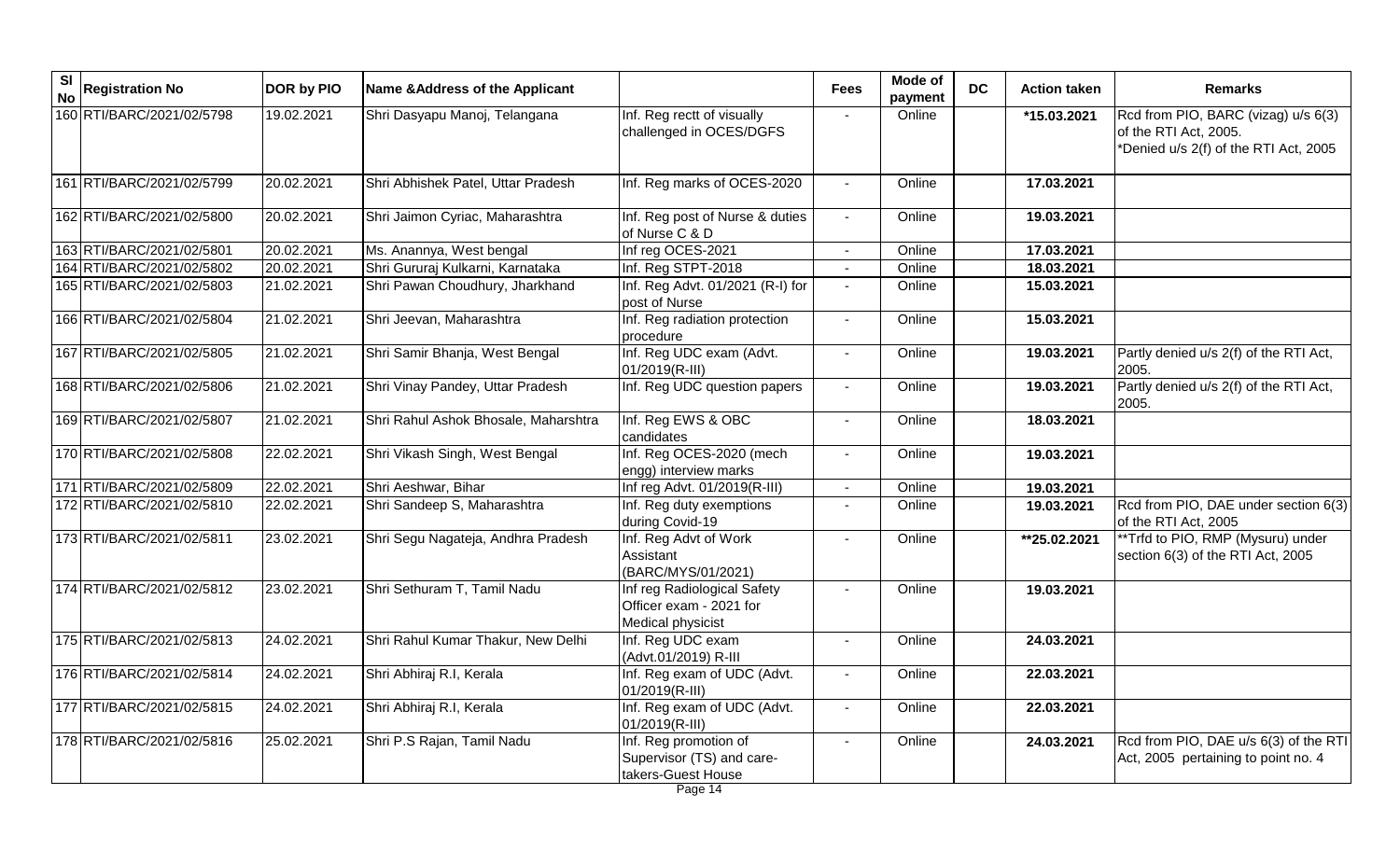| <b>SI</b><br><b>No</b> | <b>Registration No</b>    | DOR by PIO | Name & Address of the Applicant      |                                                                             | <b>Fees</b>    | Mode of<br>payment | <b>DC</b> | <b>Action taken</b> | <b>Remarks</b>                                                                                        |
|------------------------|---------------------------|------------|--------------------------------------|-----------------------------------------------------------------------------|----------------|--------------------|-----------|---------------------|-------------------------------------------------------------------------------------------------------|
|                        | 160 RTI/BARC/2021/02/5798 | 19.02.2021 | Shri Dasyapu Manoj, Telangana        | Inf. Reg rectt of visually<br>challenged in OCES/DGFS                       |                | Online             |           | *15.03.2021         | Rcd from PIO, BARC (vizag) u/s 6(3)<br>of the RTI Act, 2005.<br>*Denied u/s 2(f) of the RTI Act, 2005 |
|                        | 161 RTI/BARC/2021/02/5799 | 20.02.2021 | Shri Abhishek Patel, Uttar Pradesh   | Inf. Reg marks of OCES-2020                                                 |                | Online             |           | 17.03.2021          |                                                                                                       |
|                        | 162 RTI/BARC/2021/02/5800 | 20.02.2021 | Shri Jaimon Cyriac, Maharashtra      | Inf. Reg post of Nurse & duties<br>of Nurse C & D                           | $\blacksquare$ | Online             |           | 19.03.2021          |                                                                                                       |
|                        | 163 RTI/BARC/2021/02/5801 | 20.02.2021 | Ms. Anannya, West bengal             | Inf reg OCES-2021                                                           |                | Online             |           | 17.03.2021          |                                                                                                       |
|                        | 164 RTI/BARC/2021/02/5802 | 20.02.2021 | Shri Gururaj Kulkarni, Karnataka     | Inf. Reg STPT-2018                                                          |                | Online             |           | 18.03.2021          |                                                                                                       |
|                        | 165 RTI/BARC/2021/02/5803 | 21.02.2021 | Shri Pawan Choudhury, Jharkhand      | Inf. Reg Advt. 01/2021 (R-I) for<br>post of Nurse                           | $\blacksquare$ | Online             |           | 15.03.2021          |                                                                                                       |
|                        | 166 RTI/BARC/2021/02/5804 | 21.02.2021 | Shri Jeevan, Maharashtra             | Inf. Reg radiation protection<br>procedure                                  |                | Online             |           | 15.03.2021          |                                                                                                       |
|                        | 167 RTI/BARC/2021/02/5805 | 21.02.2021 | Shri Samir Bhanja, West Bengal       | Inf. Reg UDC exam (Advt.<br>01/2019(R-III)                                  | $\mathbf{r}$   | Online             |           | 19.03.2021          | Partly denied u/s 2(f) of the RTI Act,<br>2005.                                                       |
|                        | 168 RTI/BARC/2021/02/5806 | 21.02.2021 | Shri Vinay Pandey, Uttar Pradesh     | Inf. Reg UDC question papers                                                | $\sim$         | Online             |           | 19.03.2021          | Partly denied u/s 2(f) of the RTI Act,<br>2005.                                                       |
|                        | 169 RTI/BARC/2021/02/5807 | 21.02.2021 | Shri Rahul Ashok Bhosale, Maharshtra | Inf. Reg EWS & OBC<br>candidates                                            |                | Online             |           | 18.03.2021          |                                                                                                       |
|                        | 170 RTI/BARC/2021/02/5808 | 22.02.2021 | Shri Vikash Singh, West Bengal       | Inf. Reg OCES-2020 (mech<br>engg) interview marks                           |                | Online             |           | 19.03.2021          |                                                                                                       |
|                        | 171 RTI/BARC/2021/02/5809 | 22.02.2021 | Shri Aeshwar, Bihar                  | Inf reg Advt. 01/2019(R-III)                                                |                | Online             |           | 19.03.2021          |                                                                                                       |
|                        | 172 RTI/BARC/2021/02/5810 | 22.02.2021 | Shri Sandeep S, Maharashtra          | Inf. Reg duty exemptions<br>during Covid-19                                 | $\blacksquare$ | Online             |           | 19.03.2021          | Rcd from PIO, DAE under section 6(3)<br>of the RTI Act, 2005                                          |
|                        | 173 RTI/BARC/2021/02/5811 | 23.02.2021 | Shri Segu Nagateja, Andhra Pradesh   | Inf. Reg Advt of Work<br>Assistant<br>(BARC/MYS/01/2021)                    | $\blacksquare$ | Online             |           | **25.02.2021        | ** Trfd to PIO, RMP (Mysuru) under<br>section 6(3) of the RTI Act, 2005                               |
|                        | 174 RTI/BARC/2021/02/5812 | 23.02.2021 | Shri Sethuram T, Tamil Nadu          | Inf reg Radiological Safety<br>Officer exam - 2021 for<br>Medical physicist |                | Online             |           | 19.03.2021          |                                                                                                       |
|                        | 175 RTI/BARC/2021/02/5813 | 24.02.2021 | Shri Rahul Kumar Thakur, New Delhi   | Inf. Reg UDC exam<br>(Advt.01/2019) R-III                                   |                | Online             |           | 24.03.2021          |                                                                                                       |
|                        | 176 RTI/BARC/2021/02/5814 | 24.02.2021 | Shri Abhiraj R.I, Kerala             | Inf. Reg exam of UDC (Advt.<br>01/2019(R-III)                               |                | Online             |           | 22.03.2021          |                                                                                                       |
|                        | 177 RTI/BARC/2021/02/5815 | 24.02.2021 | Shri Abhiraj R.I, Kerala             | Inf. Reg exam of UDC (Advt.<br>01/2019(R-III)                               | $\blacksquare$ | Online             |           | 22.03.2021          |                                                                                                       |
|                        | 178 RTI/BARC/2021/02/5816 | 25.02.2021 | Shri P.S Rajan, Tamil Nadu           | Inf. Reg promotion of<br>Supervisor (TS) and care-<br>takers-Guest House    | $\blacksquare$ | Online             |           | 24.03.2021          | Rcd from PIO, DAE u/s 6(3) of the RTI<br>Act, 2005 pertaining to point no. 4                          |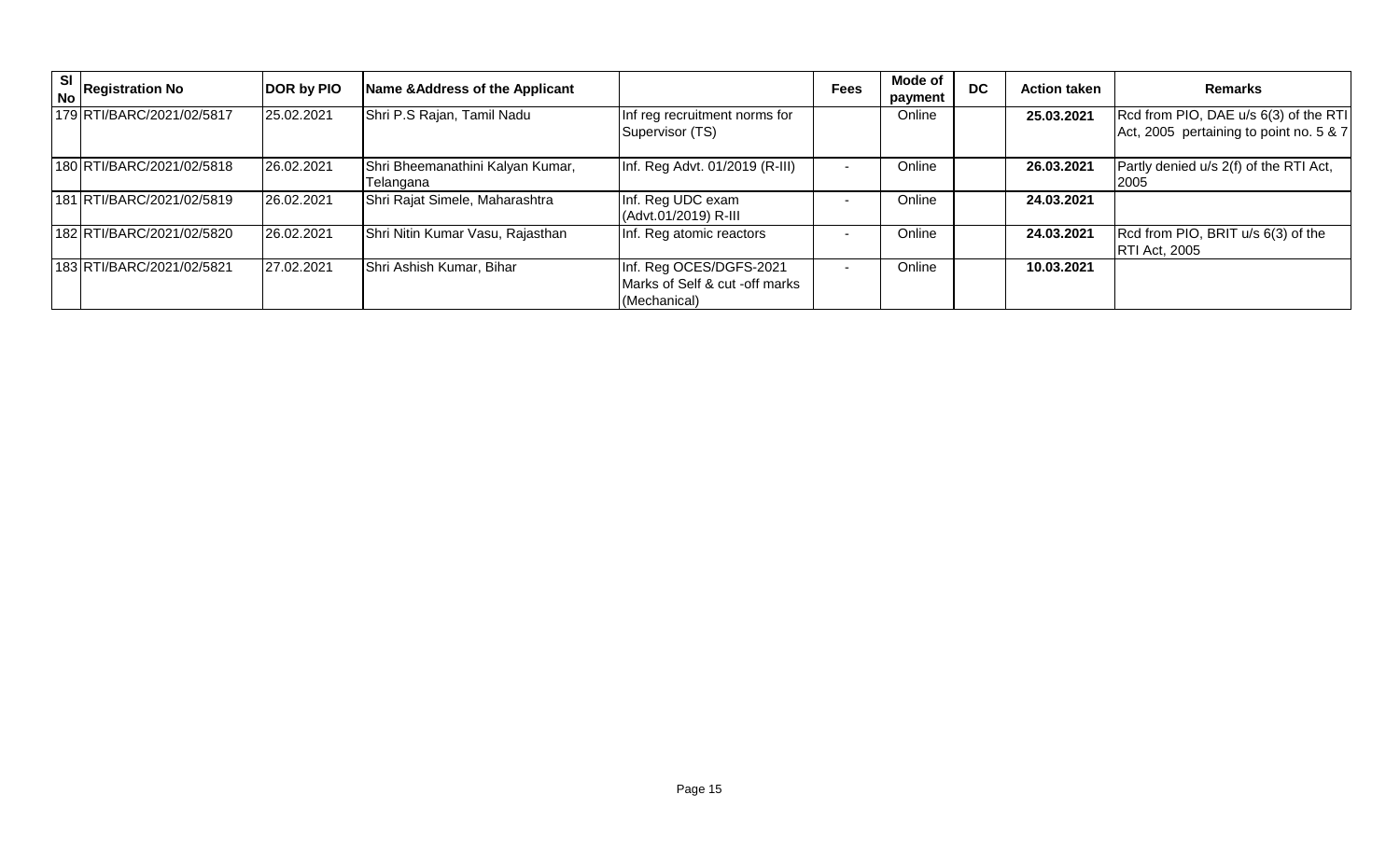| SI | <b>No Registration No</b> | DOR by PIO | Name & Address of the Applicant               |                                                                           | <b>Fees</b> | Mode of<br>payment | <b>DC</b> | <b>Action taken</b> | <b>Remarks</b>                                                                   |
|----|---------------------------|------------|-----------------------------------------------|---------------------------------------------------------------------------|-------------|--------------------|-----------|---------------------|----------------------------------------------------------------------------------|
|    | 179 RTI/BARC/2021/02/5817 | 25.02.2021 | Shri P.S Rajan, Tamil Nadu                    | Inf reg recruitment norms for<br>Supervisor (TS)                          |             | Online             |           | 25.03.2021          | Rcd from PIO, DAE u/s 6(3) of the RTI<br>Act, 2005 pertaining to point no. 5 & 7 |
|    | 180 RTI/BARC/2021/02/5818 | 26.02.2021 | Shri Bheemanathini Kalyan Kumar,<br>Telangana | Inf. Reg Advt. 01/2019 (R-III)                                            |             | Online             |           | 26.03.2021          | Partly denied u/s 2(f) of the RTI Act,<br><b>2005</b>                            |
|    | 181 RTI/BARC/2021/02/5819 | 26.02.2021 | Shri Rajat Simele, Maharashtra                | Inf. Reg UDC exam<br>(Advt.01/2019) R-III                                 |             | Online             |           | 24.03.2021          |                                                                                  |
|    | 182 RTI/BARC/2021/02/5820 | 26.02.2021 | Shri Nitin Kumar Vasu, Rajasthan              | Inf. Reg atomic reactors                                                  |             | Online             |           | 24.03.2021          | Rcd from PIO, BRIT u/s 6(3) of the<br><b>RTI Act, 2005</b>                       |
|    | 183 RTI/BARC/2021/02/5821 | 27.02.2021 | Shri Ashish Kumar, Bihar                      | Inf. Reg OCES/DGFS-2021<br>Marks of Self & cut -off marks<br>(Mechanical) |             | Online             |           | 10.03.2021          |                                                                                  |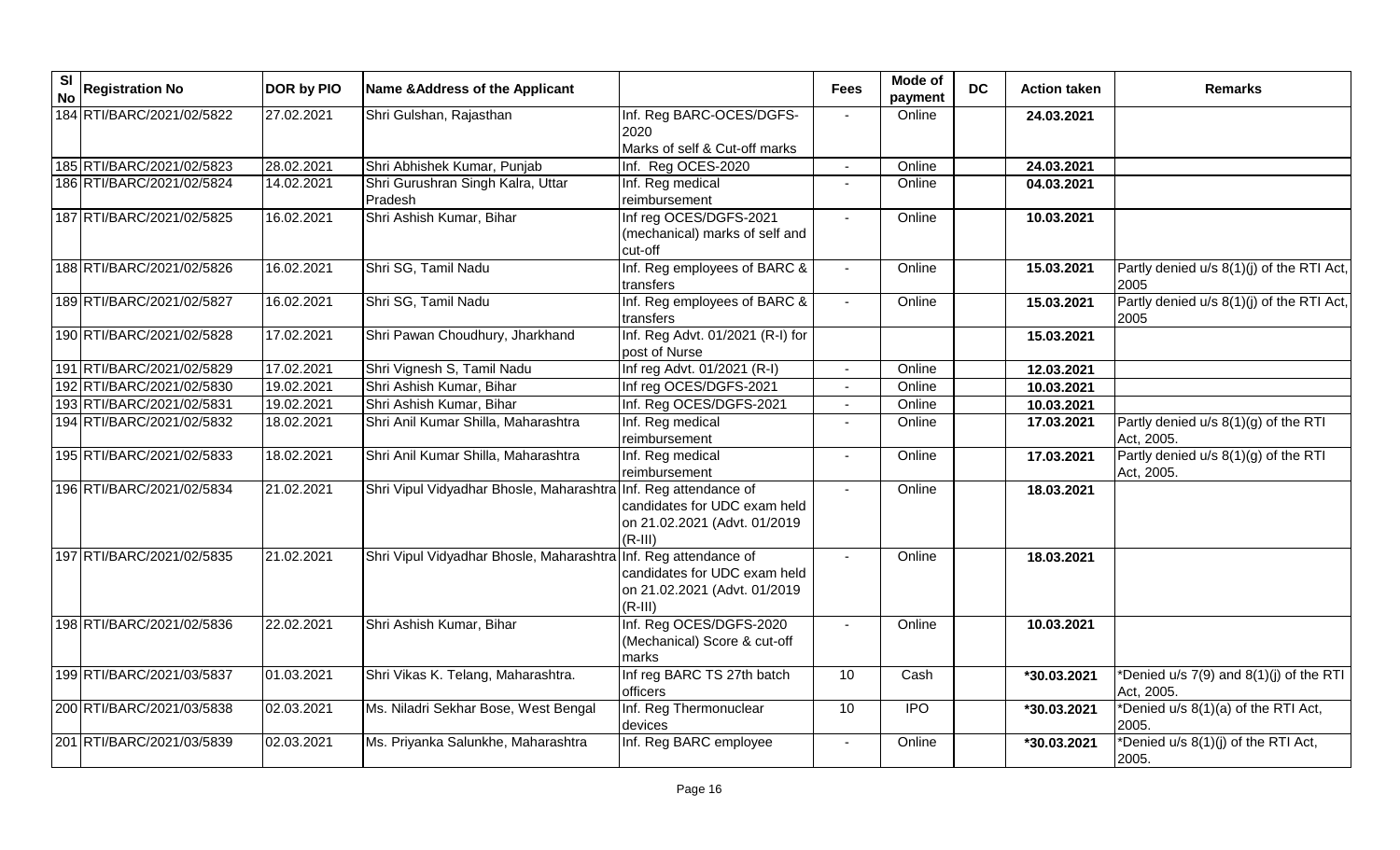| $\overline{\mathbf{s}}$<br><b>No</b> | <b>Registration No</b>    | DOR by PIO | Name & Address of the Applicant                                 |                                                                           | <b>Fees</b>    | Mode of<br>payment | <b>DC</b> | <b>Action taken</b> | <b>Remarks</b>                                        |
|--------------------------------------|---------------------------|------------|-----------------------------------------------------------------|---------------------------------------------------------------------------|----------------|--------------------|-----------|---------------------|-------------------------------------------------------|
|                                      | 184 RTI/BARC/2021/02/5822 | 27.02.2021 | Shri Gulshan, Rajasthan                                         | Inf. Reg BARC-OCES/DGFS-<br>2020<br>Marks of self & Cut-off marks         |                | Online             |           | 24.03.2021          |                                                       |
|                                      | 185 RTI/BARC/2021/02/5823 | 28.02.2021 | Shri Abhishek Kumar, Punjab                                     | Inf. Reg OCES-2020                                                        | $\blacksquare$ | Online             |           | 24.03.2021          |                                                       |
|                                      | 186 RTI/BARC/2021/02/5824 | 14.02.2021 | Shri Gurushran Singh Kalra, Uttar<br>Pradesh                    | Inf. Reg medical<br>reimbursement                                         |                | Online             |           | 04.03.2021          |                                                       |
|                                      | 187 RTI/BARC/2021/02/5825 | 16.02.2021 | Shri Ashish Kumar, Bihar                                        | Inf reg OCES/DGFS-2021<br>(mechanical) marks of self and<br>cut-off       |                | Online             |           | 10.03.2021          |                                                       |
|                                      | 188 RTI/BARC/2021/02/5826 | 16.02.2021 | Shri SG, Tamil Nadu                                             | Inf. Reg employees of BARC &<br>transfers                                 | $\sim$         | Online             |           | 15.03.2021          | Partly denied u/s 8(1)(j) of the RTI Act,<br>2005     |
|                                      | 189 RTI/BARC/2021/02/5827 | 16.02.2021 | Shri SG, Tamil Nadu                                             | Inf. Reg employees of BARC &<br>transfers                                 |                | Online             |           | 15.03.2021          | Partly denied u/s 8(1)(j) of the RTI Act,<br>2005     |
|                                      | 190 RTI/BARC/2021/02/5828 | 17.02.2021 | Shri Pawan Choudhury, Jharkhand                                 | Inf. Reg Advt. 01/2021 (R-I) for<br>post of Nurse                         |                |                    |           | 15.03.2021          |                                                       |
|                                      | 191 RTI/BARC/2021/02/5829 | 17.02.2021 | Shri Vignesh S, Tamil Nadu                                      | Inf reg Advt. 01/2021 (R-I)                                               |                | Online             |           | 12.03.2021          |                                                       |
|                                      | 192 RTI/BARC/2021/02/5830 | 19.02.2021 | Shri Ashish Kumar, Bihar                                        | Inf reg OCES/DGFS-2021                                                    |                | Online             |           | 10.03.2021          |                                                       |
|                                      | 193 RTI/BARC/2021/02/5831 | 19.02.2021 | Shri Ashish Kumar, Bihar                                        | Inf. Reg OCES/DGFS-2021                                                   |                | Online             |           | 10.03.2021          |                                                       |
|                                      | 194 RTI/BARC/2021/02/5832 | 18.02.2021 | Shri Anil Kumar Shilla, Maharashtra                             | Inf. Reg medical<br>reimbursement                                         |                | Online             |           | 17.03.2021          | Partly denied u/s 8(1)(g) of the RTI<br>Act, 2005.    |
|                                      | 195 RTI/BARC/2021/02/5833 | 18.02.2021 | Shri Anil Kumar Shilla, Maharashtra                             | Inf. Reg medical<br>reimbursement                                         | $\blacksquare$ | Online             |           | 17.03.2021          | Partly denied u/s 8(1)(g) of the RTI<br>Act, 2005.    |
|                                      | 196 RTI/BARC/2021/02/5834 | 21.02.2021 | Shri Vipul Vidyadhar Bhosle, Maharashtra Inf. Reg attendance of | candidates for UDC exam held<br>on 21.02.2021 (Advt. 01/2019<br>$(R-III)$ |                | Online             |           | 18.03.2021          |                                                       |
|                                      | 197 RTI/BARC/2021/02/5835 | 21.02.2021 | Shri Vipul Vidyadhar Bhosle, Maharashtra Inf. Reg attendance of | candidates for UDC exam held<br>on 21.02.2021 (Advt. 01/2019<br>$(R-III)$ |                | Online             |           | 18.03.2021          |                                                       |
|                                      | 198 RTI/BARC/2021/02/5836 | 22.02.2021 | Shri Ashish Kumar, Bihar                                        | Inf. Reg OCES/DGFS-2020<br>(Mechanical) Score & cut-off<br>marks          |                | Online             |           | 10.03.2021          |                                                       |
|                                      | 199 RTI/BARC/2021/03/5837 | 01.03.2021 | Shri Vikas K. Telang, Maharashtra.                              | Inf reg BARC TS 27th batch<br>officers                                    | 10             | Cash               |           | *30.03.2021         | *Denied u/s 7(9) and 8(1)(j) of the RTI<br>Act, 2005. |
|                                      | 200 RTI/BARC/2021/03/5838 | 02.03.2021 | Ms. Niladri Sekhar Bose, West Bengal                            | Inf. Reg Thermonuclear<br>devices                                         | 10             | $\overline{1}$     |           | *30.03.2021         | *Denied u/s 8(1)(a) of the RTI Act,<br>2005.          |
|                                      | 201 RTI/BARC/2021/03/5839 | 02.03.2021 | Ms. Priyanka Salunkhe, Maharashtra                              | Inf. Reg BARC employee                                                    |                | Online             |           | *30.03.2021         | *Denied u/s 8(1)(j) of the RTI Act,<br>2005.          |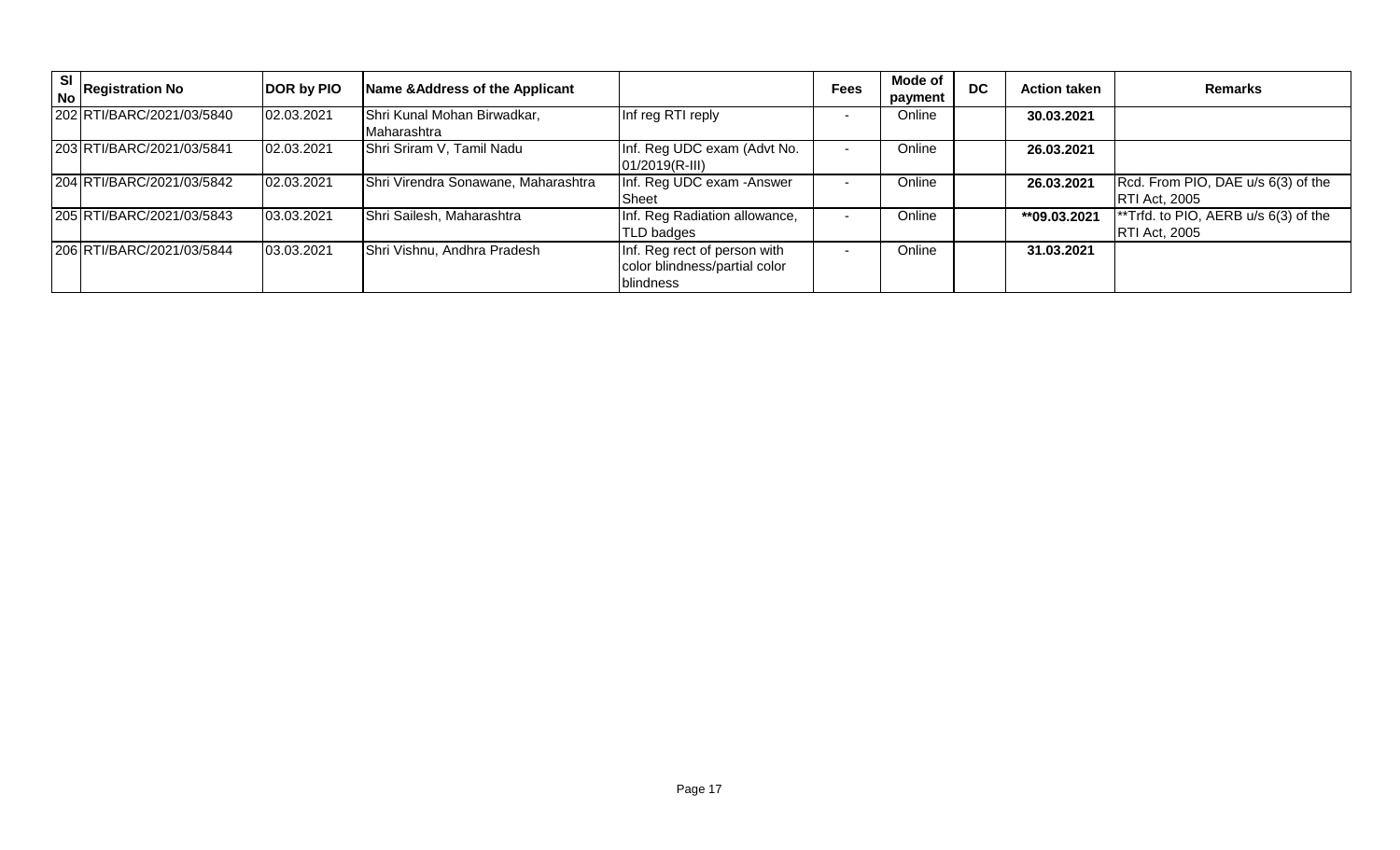| SI | $\int_{\mathsf{NO}}^{\infty}$ Registration No | DOR by PIO | Name & Address of the Applicant            |                                                                            | <b>Fees</b> | <b>Mode of</b><br>payment | <b>DC</b> | <b>Action taken</b> | <b>Remarks</b>                                                    |
|----|-----------------------------------------------|------------|--------------------------------------------|----------------------------------------------------------------------------|-------------|---------------------------|-----------|---------------------|-------------------------------------------------------------------|
|    | 202 RTI/BARC/2021/03/5840                     | 02.03.2021 | Shri Kunal Mohan Birwadkar,<br>Maharashtra | Inf reg RTI reply                                                          |             | Online                    |           | 30.03.2021          |                                                                   |
|    | 203 RTI/BARC/2021/03/5841                     | 02.03.2021 | Shri Sriram V, Tamil Nadu                  | Inf. Reg UDC exam (Advt No.<br>01/2019(R-III)                              |             | Online                    |           | 26.03.2021          |                                                                   |
|    | 204 RTI/BARC/2021/03/5842                     | 02.03.2021 | Shri Virendra Sonawane, Maharashtra        | Inf. Reg UDC exam - Answer<br>Sheet                                        |             | Online                    |           | 26.03.2021          | Rcd. From PIO, DAE u/s 6(3) of the<br><b>RTI Act, 2005</b>        |
|    | 205 RTI/BARC/2021/03/5843                     | 03.03.2021 | Shri Sailesh, Maharashtra                  | Inf. Reg Radiation allowance,<br>TLD badges                                |             | Online                    |           | **09.03.2021        | $\ast$ Trfd. to PIO, AERB u/s 6(3) of the<br><b>RTI Act, 2005</b> |
|    | 206 RTI/BARC/2021/03/5844                     | 03.03.2021 | Shri Vishnu, Andhra Pradesh                | Inf. Reg rect of person with<br>color blindness/partial color<br>blindness |             | Online                    |           | 31.03.2021          |                                                                   |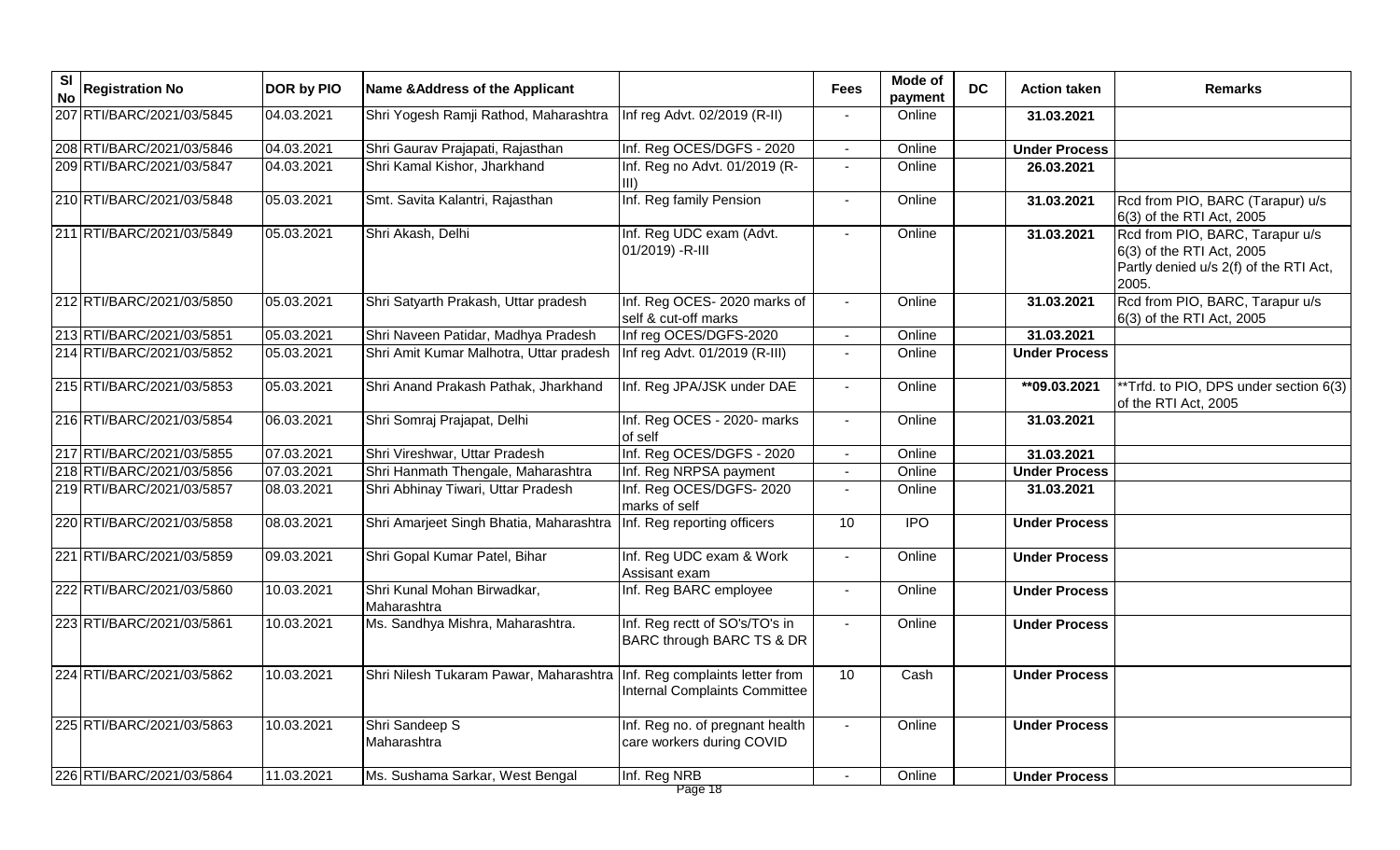| $\overline{\mathbf{s}}$<br><b>No</b> | <b>Registration No</b>    | DOR by PIO | Name & Address of the Applicant            |                                                                         | <b>Fees</b>              | Mode of<br>payment | <b>DC</b> | <b>Action taken</b>  | <b>Remarks</b>                                                                                                  |
|--------------------------------------|---------------------------|------------|--------------------------------------------|-------------------------------------------------------------------------|--------------------------|--------------------|-----------|----------------------|-----------------------------------------------------------------------------------------------------------------|
|                                      | 207 RTI/BARC/2021/03/5845 | 04.03.2021 | Shri Yogesh Ramji Rathod, Maharashtra      | Inf reg Advt. 02/2019 (R-II)                                            |                          | Online             |           | 31.03.2021           |                                                                                                                 |
|                                      | 208 RTI/BARC/2021/03/5846 | 04.03.2021 | Shri Gaurav Prajapati, Rajasthan           | Inf. Reg OCES/DGFS - 2020                                               |                          | Online             |           | <b>Under Process</b> |                                                                                                                 |
|                                      | 209 RTI/BARC/2021/03/5847 | 04.03.2021 | Shri Kamal Kishor, Jharkhand               | Inf. Reg no Advt. 01/2019 (R-                                           | $\blacksquare$           | Online             |           | 26.03.2021           |                                                                                                                 |
|                                      | 210 RTI/BARC/2021/03/5848 | 05.03.2021 | Smt. Savita Kalantri, Rajasthan            | Inf. Reg family Pension                                                 | $\sim$                   | Online             |           | 31.03.2021           | Rcd from PIO, BARC (Tarapur) u/s<br>6(3) of the RTI Act, 2005                                                   |
|                                      | 211 RTI/BARC/2021/03/5849 | 05.03.2021 | Shri Akash, Delhi                          | Inf. Reg UDC exam (Advt.<br>01/2019) - R-III                            |                          | Online             |           | 31.03.2021           | Rcd from PIO, BARC, Tarapur u/s<br>6(3) of the RTI Act, 2005<br>Partly denied u/s 2(f) of the RTI Act,<br>2005. |
|                                      | 212 RTI/BARC/2021/03/5850 | 05.03.2021 | Shri Satyarth Prakash, Uttar pradesh       | Inf. Reg OCES- 2020 marks of<br>self & cut-off marks                    |                          | Online             |           | 31.03.2021           | Rcd from PIO, BARC, Tarapur u/s<br>6(3) of the RTI Act, 2005                                                    |
|                                      | 213 RTI/BARC/2021/03/5851 | 05.03.2021 | Shri Naveen Patidar, Madhya Pradesh        | Inf reg OCES/DGFS-2020                                                  |                          | Online             |           | 31.03.2021           |                                                                                                                 |
|                                      | 214 RTI/BARC/2021/03/5852 | 05.03.2021 | Shri Amit Kumar Malhotra, Uttar pradesh    | Inf reg Advt. 01/2019 (R-III)                                           |                          | Online             |           | <b>Under Process</b> |                                                                                                                 |
|                                      | 215 RTI/BARC/2021/03/5853 | 05.03.2021 | Shri Anand Prakash Pathak, Jharkhand       | Inf. Reg JPA/JSK under DAE                                              | $\overline{\phantom{a}}$ | Online             |           | **09.03.2021         | *Trfd. to PIO, DPS under section 6(3)<br>of the RTI Act, 2005                                                   |
|                                      | 216 RTI/BARC/2021/03/5854 | 06.03.2021 | Shri Somraj Prajapat, Delhi                | Inf. Reg OCES - 2020- marks<br>of self                                  | $\blacksquare$           | Online             |           | 31.03.2021           |                                                                                                                 |
|                                      | 217 RTI/BARC/2021/03/5855 | 07.03.2021 | Shri Vireshwar, Uttar Pradesh              | Inf. Reg OCES/DGFS - 2020                                               | $\blacksquare$           | Online             |           | 31.03.2021           |                                                                                                                 |
|                                      | 218 RTI/BARC/2021/03/5856 | 07.03.2021 | Shri Hanmath Thengale, Maharashtra         | Inf. Reg NRPSA payment                                                  |                          | Online             |           | <b>Under Process</b> |                                                                                                                 |
|                                      | 219 RTI/BARC/2021/03/5857 | 08.03.2021 | Shri Abhinay Tiwari, Uttar Pradesh         | Inf. Reg OCES/DGFS-2020<br>marks of self                                |                          | Online             |           | 31.03.2021           |                                                                                                                 |
|                                      | 220 RTI/BARC/2021/03/5858 | 08.03.2021 | Shri Amarjeet Singh Bhatia, Maharashtra    | Inf. Reg reporting officers                                             | 10                       | <b>IPO</b>         |           | <b>Under Process</b> |                                                                                                                 |
|                                      | 221 RTI/BARC/2021/03/5859 | 09.03.2021 | Shri Gopal Kumar Patel, Bihar              | Inf. Reg UDC exam & Work<br>Assisant exam                               | $\blacksquare$           | Online             |           | <b>Under Process</b> |                                                                                                                 |
|                                      | 222 RTI/BARC/2021/03/5860 | 10.03.2021 | Shri Kunal Mohan Birwadkar,<br>Maharashtra | Inf. Reg BARC employee                                                  |                          | Online             |           | <b>Under Process</b> |                                                                                                                 |
|                                      | 223 RTI/BARC/2021/03/5861 | 10.03.2021 | Ms. Sandhya Mishra, Maharashtra.           | Inf. Reg rectt of SO's/TO's in<br>BARC through BARC TS & DR             |                          | Online             |           | <b>Under Process</b> |                                                                                                                 |
|                                      | 224 RTI/BARC/2021/03/5862 | 10.03.2021 | Shri Nilesh Tukaram Pawar, Maharashtra     | Inf. Reg complaints letter from<br><b>Internal Complaints Committee</b> | 10                       | Cash               |           | <b>Under Process</b> |                                                                                                                 |
|                                      | 225 RTI/BARC/2021/03/5863 | 10.03.2021 | Shri Sandeep S<br>Maharashtra              | Inf. Reg no. of pregnant health<br>care workers during COVID            |                          | Online             |           | <b>Under Process</b> |                                                                                                                 |
|                                      | 226 RTI/BARC/2021/03/5864 | 11.03.2021 | Ms. Sushama Sarkar, West Bengal            | Inf. Reg NRB                                                            |                          | Online             |           | <b>Under Process</b> |                                                                                                                 |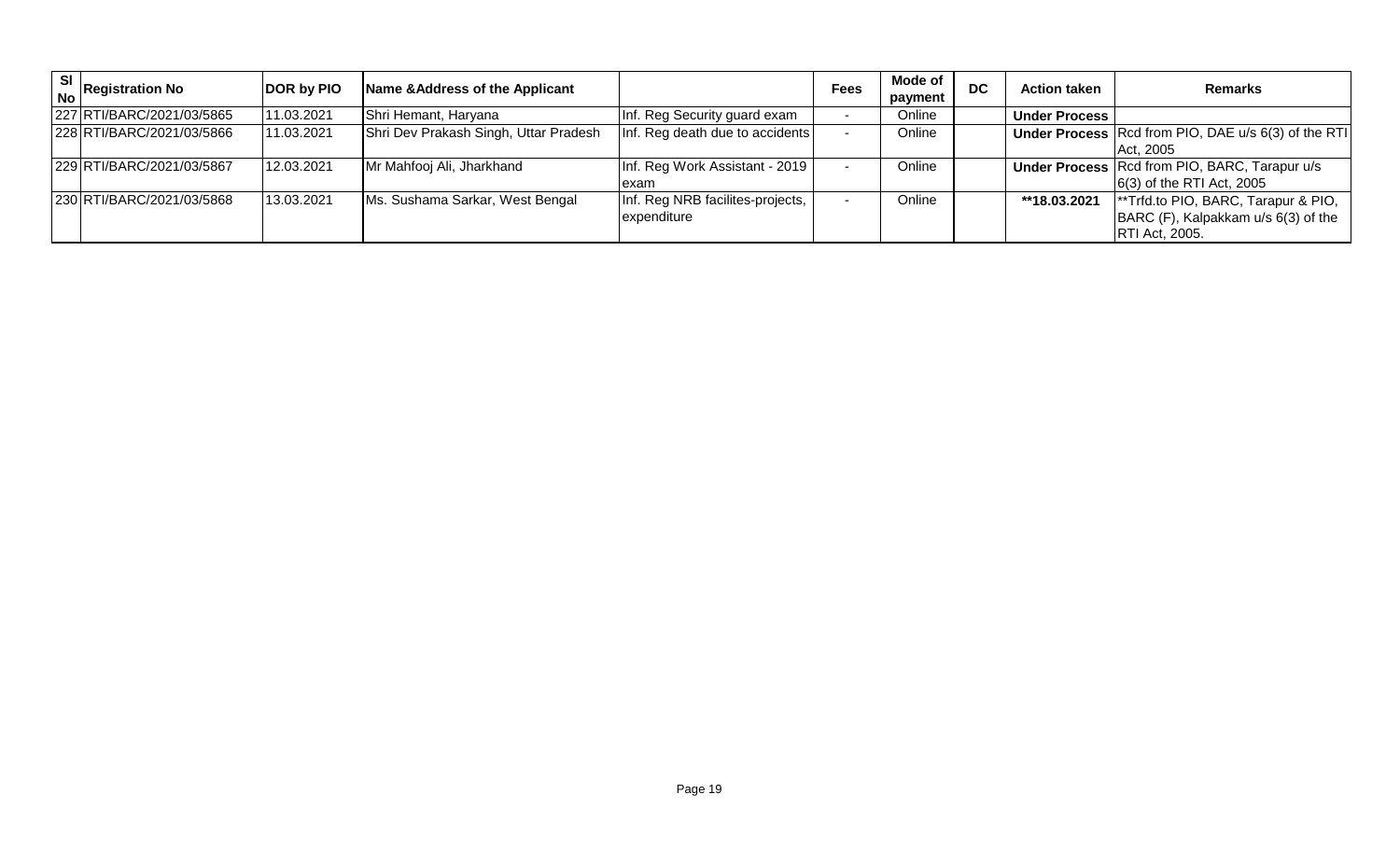| SI<br>No Registration No  | DOR by PIO | Name & Address of the Applicant       |                                                 | <b>Fees</b> | <b>Mode of</b><br>payment | <b>DC</b> | <b>Action taken</b>  | <b>Remarks</b>                                                                                                  |
|---------------------------|------------|---------------------------------------|-------------------------------------------------|-------------|---------------------------|-----------|----------------------|-----------------------------------------------------------------------------------------------------------------|
| 227 RTI/BARC/2021/03/5865 | 11.03.2021 | Shri Hemant, Haryana                  | Inf. Reg Security guard exam                    |             | Online                    |           | <b>Under Process</b> |                                                                                                                 |
| 228 RTI/BARC/2021/03/5866 | 11.03.2021 | Shri Dev Prakash Singh, Uttar Pradesh | Inf. Reg death due to accidents                 |             | Online                    |           |                      | Under Process Rcd from PIO, DAE u/s 6(3) of the RTI<br>Act, 2005                                                |
| 229 RTI/BARC/2021/03/5867 | 12.03.2021 | Mr Mahfooj Ali, Jharkhand             | Inf. Reg Work Assistant - 2019<br>exam          |             | Online                    |           |                      | <b>Under Process Rcd from PIO, BARC, Tarapur u/s</b><br>$ 6(3)$ of the RTI Act, 2005                            |
| 230 RTI/BARC/2021/03/5868 | 13.03.2021 | Ms. Sushama Sarkar, West Bengal       | Inf. Reg NRB facilites-projects,<br>expenditure |             | Online                    |           | **18.03.2021         | <sup>**</sup> Trfd.to PIO, BARC, Tarapur & PIO,<br>BARC (F), Kalpakkam u/s 6(3) of the<br><b>RTI Act, 2005.</b> |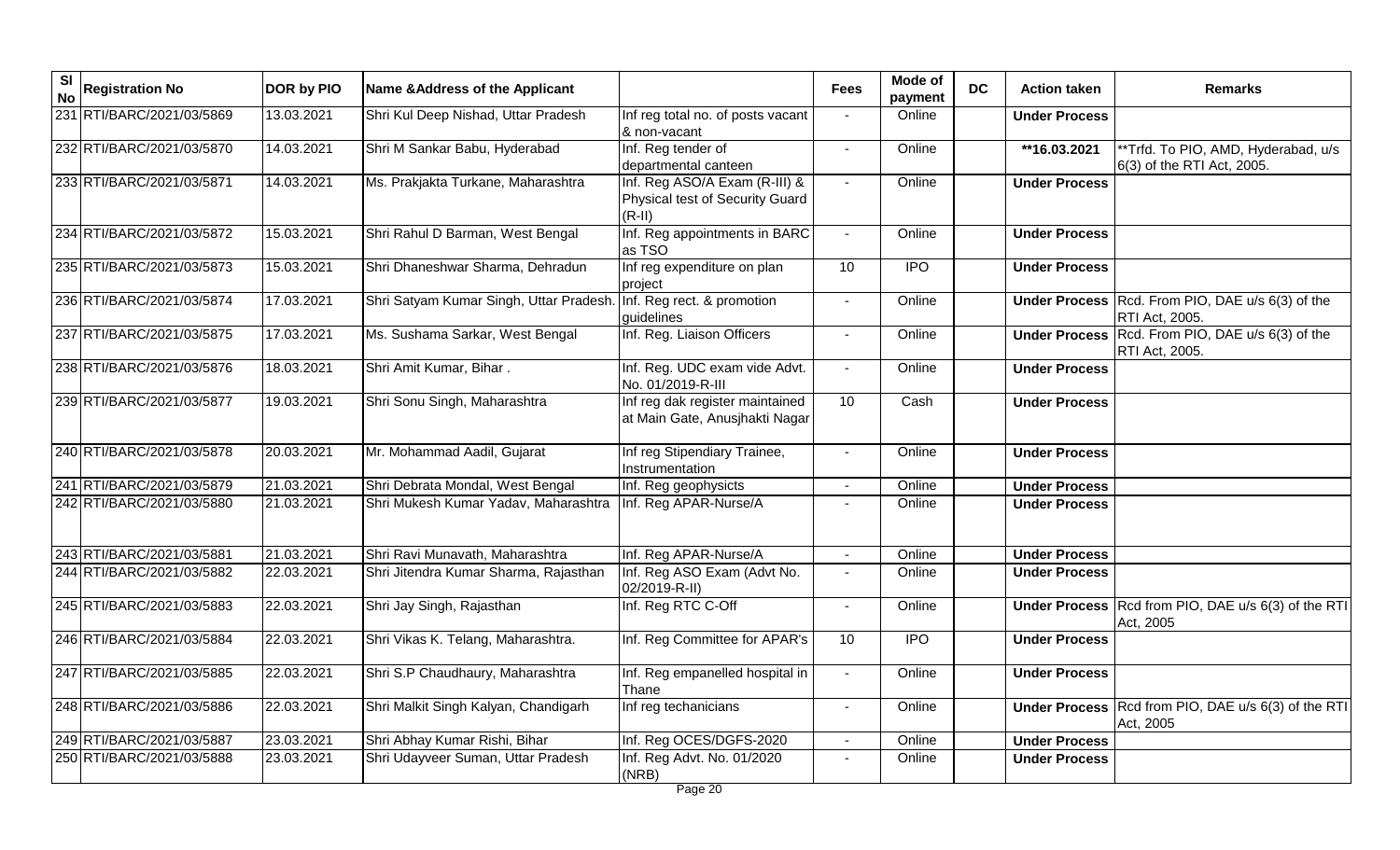| <b>SI</b><br><b>No</b> | <b>Registration No</b>    | DOR by PIO | Name & Address of the Applicant        |                                                                              | <b>Fees</b>              | Mode of<br>payment | <b>DC</b> | <b>Action taken</b>  | <b>Remarks</b>                                                     |
|------------------------|---------------------------|------------|----------------------------------------|------------------------------------------------------------------------------|--------------------------|--------------------|-----------|----------------------|--------------------------------------------------------------------|
|                        | 231 RTI/BARC/2021/03/5869 | 13.03.2021 | Shri Kul Deep Nishad, Uttar Pradesh    | Inf reg total no. of posts vacant<br>& non-vacant                            |                          | Online             |           | <b>Under Process</b> |                                                                    |
|                        | 232 RTI/BARC/2021/03/5870 | 14.03.2021 | Shri M Sankar Babu, Hyderabad          | Inf. Reg tender of<br>departmental canteen                                   | $\blacksquare$           | Online             |           | **16.03.2021         | *Trfd. To PIO, AMD, Hyderabad, u/s<br>6(3) of the RTI Act, 2005.   |
|                        | 233 RTI/BARC/2021/03/5871 | 14.03.2021 | Ms. Prakjakta Turkane, Maharashtra     | Inf. Reg ASO/A Exam (R-III) &<br>Physical test of Security Guard<br>$(R-II)$ | $\blacksquare$           | Online             |           | <b>Under Process</b> |                                                                    |
|                        | 234 RTI/BARC/2021/03/5872 | 15.03.2021 | Shri Rahul D Barman, West Bengal       | Inf. Reg appointments in BARC<br>as TSO                                      | $\sim$                   | Online             |           | <b>Under Process</b> |                                                                    |
|                        | 235 RTI/BARC/2021/03/5873 | 15.03.2021 | Shri Dhaneshwar Sharma, Dehradun       | Inf reg expenditure on plan<br>project                                       | 10                       | <b>IPO</b>         |           | <b>Under Process</b> |                                                                    |
|                        | 236 RTI/BARC/2021/03/5874 | 17.03.2021 | Shri Satyam Kumar Singh, Uttar Pradesh | Inf. Reg rect. & promotion<br>guidelines                                     |                          | Online             |           |                      | Under Process Rcd. From PIO, DAE u/s 6(3) of the<br>RTI Act, 2005. |
|                        | 237 RTI/BARC/2021/03/5875 | 17.03.2021 | Ms. Sushama Sarkar, West Bengal        | Inf. Reg. Liaison Officers                                                   | $\mathbf{r}$             | Online             |           |                      | Under Process Rcd. From PIO, DAE u/s 6(3) of the<br>RTI Act, 2005. |
|                        | 238 RTI/BARC/2021/03/5876 | 18.03.2021 | Shri Amit Kumar, Bihar.                | Inf. Reg. UDC exam vide Advt.<br>No. 01/2019-R-III                           | $\sim$                   | Online             |           | <b>Under Process</b> |                                                                    |
|                        | 239 RTI/BARC/2021/03/5877 | 19.03.2021 | Shri Sonu Singh, Maharashtra           | Inf reg dak register maintained<br>at Main Gate, Anusjhakti Nagar            | 10                       | Cash               |           | <b>Under Process</b> |                                                                    |
|                        | 240 RTI/BARC/2021/03/5878 | 20.03.2021 | Mr. Mohammad Aadil, Gujarat            | Inf reg Stipendiary Trainee,<br>Instrumentation                              |                          | Online             |           | <b>Under Process</b> |                                                                    |
|                        | 241 RTI/BARC/2021/03/5879 | 21.03.2021 | Shri Debrata Mondal, West Bengal       | Inf. Reg geophysicts                                                         | $\blacksquare$           | Online             |           | <b>Under Process</b> |                                                                    |
|                        | 242 RTI/BARC/2021/03/5880 | 21.03.2021 | Shri Mukesh Kumar Yadav, Maharashtra   | Inf. Reg APAR-Nurse/A                                                        |                          | Online             |           | <b>Under Process</b> |                                                                    |
|                        | 243 RTI/BARC/2021/03/5881 | 21.03.2021 | Shri Ravi Munavath, Maharashtra        | Inf. Reg APAR-Nurse/A                                                        |                          | Online             |           | <b>Under Process</b> |                                                                    |
|                        | 244 RTI/BARC/2021/03/5882 | 22.03.2021 | Shri Jitendra Kumar Sharma, Rajasthan  | Inf. Reg ASO Exam (Advt No.<br>02/2019-R-II)                                 | $\blacksquare$           | Online             |           | <b>Under Process</b> |                                                                    |
|                        | 245 RTI/BARC/2021/03/5883 | 22.03.2021 | Shri Jay Singh, Rajasthan              | Inf. Reg RTC C-Off                                                           | $\overline{\phantom{a}}$ | Online             |           |                      | Under Process Rcd from PIO, DAE u/s 6(3) of the RTI<br>Act, 2005   |
|                        | 246 RTI/BARC/2021/03/5884 | 22.03.2021 | Shri Vikas K. Telang, Maharashtra.     | Inf. Reg Committee for APAR's                                                | 10                       | <b>IPO</b>         |           | <b>Under Process</b> |                                                                    |
|                        | 247 RTI/BARC/2021/03/5885 | 22.03.2021 | Shri S.P Chaudhaury, Maharashtra       | Inf. Reg empanelled hospital in<br>Thane                                     | $\blacksquare$           | Online             |           | <b>Under Process</b> |                                                                    |
|                        | 248 RTI/BARC/2021/03/5886 | 22.03.2021 | Shri Malkit Singh Kalyan, Chandigarh   | Inf reg techanicians                                                         | $\blacksquare$           | Online             |           |                      | Under Process Rcd from PIO, DAE u/s 6(3) of the RTI<br>Act, 2005   |
|                        | 249 RTI/BARC/2021/03/5887 | 23.03.2021 | Shri Abhay Kumar Rishi, Bihar          | Inf. Reg OCES/DGFS-2020                                                      |                          | Online             |           | <b>Under Process</b> |                                                                    |
|                        | 250 RTI/BARC/2021/03/5888 | 23.03.2021 | Shri Udayveer Suman, Uttar Pradesh     | Inf. Reg Advt. No. 01/2020<br>(NRB)                                          |                          | Online             |           | <b>Under Process</b> |                                                                    |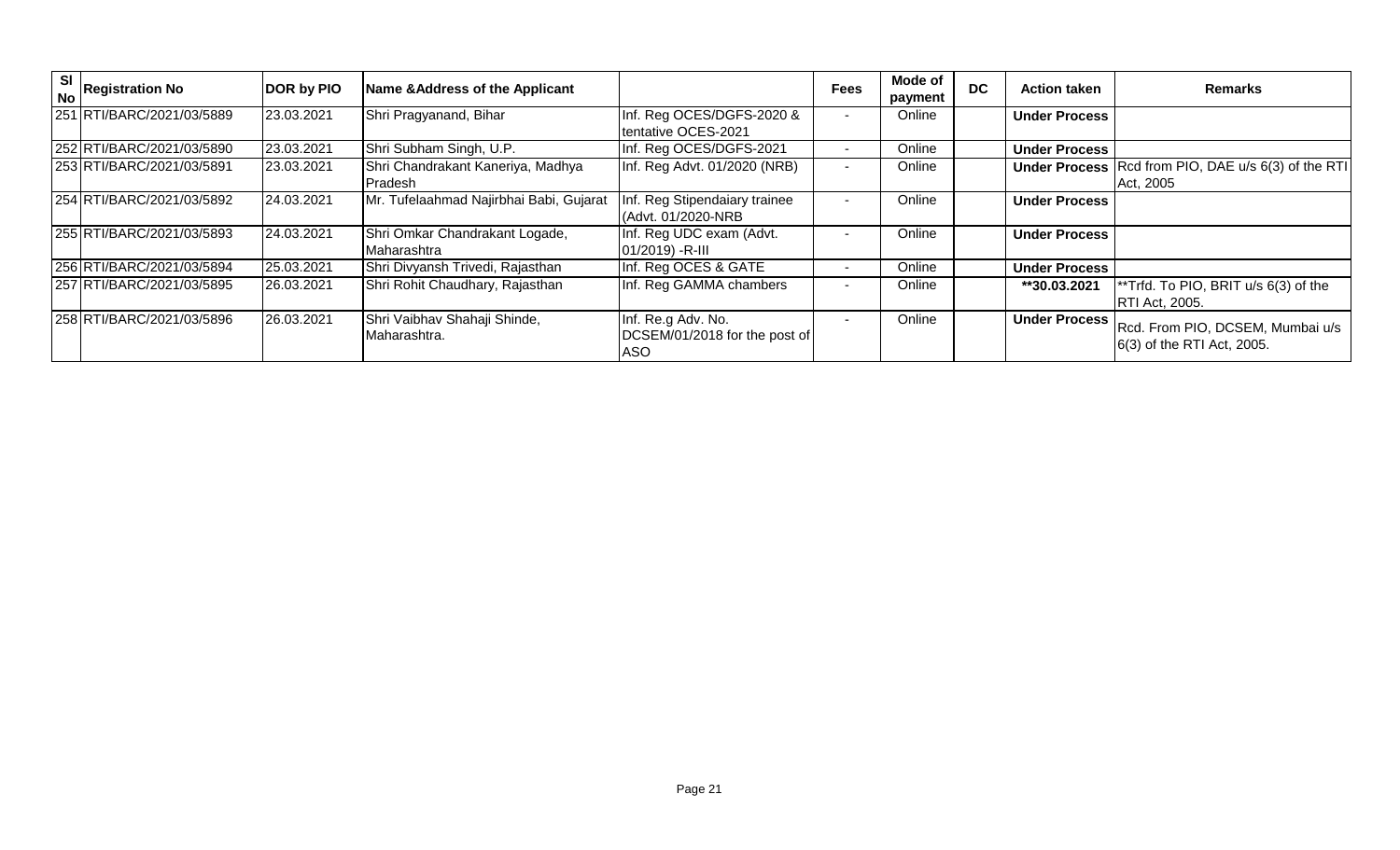| SI | I o Registration No       | DOR by PIO | Name & Address of the Applicant               |                                                                   | <b>Fees</b>              | Mode of<br>payment | <b>DC</b> | <b>Action taken</b>  | <b>Remarks</b>                                                                 |
|----|---------------------------|------------|-----------------------------------------------|-------------------------------------------------------------------|--------------------------|--------------------|-----------|----------------------|--------------------------------------------------------------------------------|
|    | 251 RTI/BARC/2021/03/5889 | 23.03.2021 | Shri Pragyanand, Bihar                        | Inf. Reg OCES/DGFS-2020 &<br>tentative OCES-2021                  | $\overline{\phantom{0}}$ | Online             |           | <b>Under Process</b> |                                                                                |
|    | 252 RTI/BARC/2021/03/5890 | 23.03.2021 | Shri Subham Singh, U.P.                       | Inf. Reg OCES/DGFS-2021                                           |                          | Online             |           | <b>Under Process</b> |                                                                                |
|    | 253 RTI/BARC/2021/03/5891 | 23.03.2021 | Shri Chandrakant Kaneriya, Madhya<br>Pradesh  | Inf. Reg Advt. 01/2020 (NRB)                                      | $\blacksquare$           | Online             |           |                      | <b>Under Process</b> Rcd from PIO, DAE u/s 6(3) of the RTI<br>Act, 2005        |
|    | 254 RTI/BARC/2021/03/5892 | 24.03.2021 | Mr. Tufelaahmad Najirbhai Babi, Gujarat       | Inf. Reg Stipendaiary trainee<br>(Advt. 01/2020-NRB               |                          | Online             |           | <b>Under Process</b> |                                                                                |
|    | 255 RTI/BARC/2021/03/5893 | 24.03.2021 | Shri Omkar Chandrakant Logade,<br>Maharashtra | Inf. Reg UDC exam (Advt.<br>$01/2019$ ) -R-III                    |                          | Online             |           | <b>Under Process</b> |                                                                                |
|    | 256 RTI/BARC/2021/03/5894 | 25.03.2021 | Shri Divyansh Trivedi, Rajasthan              | Inf. Reg OCES & GATE                                              |                          | Online             |           | <b>Under Process</b> |                                                                                |
|    | 257 RTI/BARC/2021/03/5895 | 26.03.2021 | Shri Rohit Chaudhary, Rajasthan               | Inf. Reg GAMMA chambers                                           |                          | Online             |           | **30.03.2021         | <b>**Trfd.</b> To PIO, BRIT $u/s$ 6(3) of the<br><b>RTI Act, 2005.</b>         |
|    | 258 RTI/BARC/2021/03/5896 | 26.03.2021 | Shri Vaibhav Shahaji Shinde,<br>Maharashtra.  | Inf. Re.g Adv. No.<br>DCSEM/01/2018 for the post of<br><b>ASO</b> |                          | Online             |           |                      | Under Process   Rcd. From PIO, DCSEM, Mumbai u/s<br>6(3) of the RTI Act, 2005. |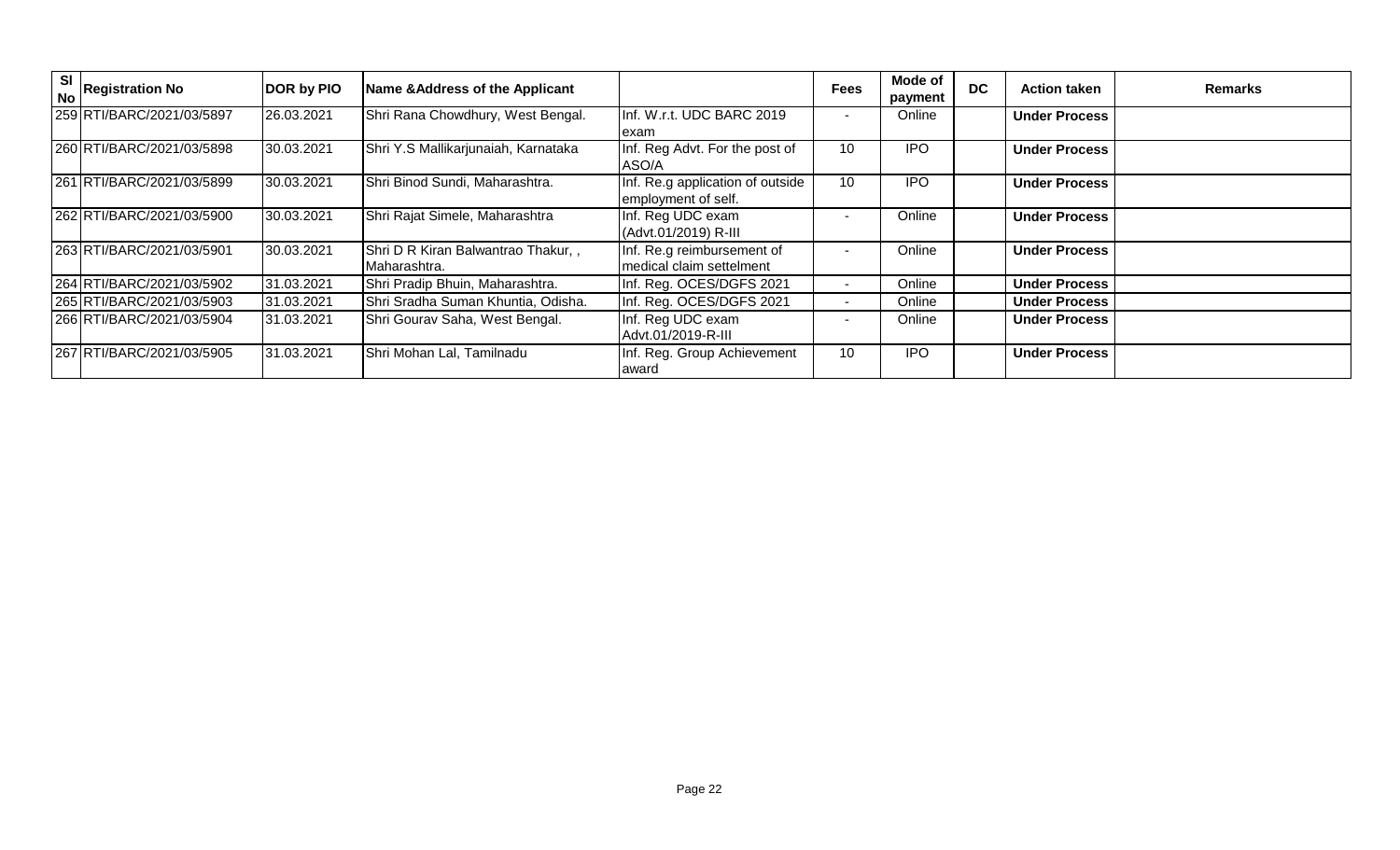| SI<br><b>No</b> | <b>Registration No</b>    | DOR by PIO | Name & Address of the Applicant                     |                                                         | <b>Fees</b>              | Mode of<br>payment | <b>DC</b> | <b>Action taken</b>  | <b>Remarks</b> |
|-----------------|---------------------------|------------|-----------------------------------------------------|---------------------------------------------------------|--------------------------|--------------------|-----------|----------------------|----------------|
|                 | 259 RTI/BARC/2021/03/5897 | 26.03.2021 | Shri Rana Chowdhury, West Bengal.                   | Inf. W.r.t. UDC BARC 2019<br>lexam                      | $\overline{\phantom{a}}$ | Online             |           | <b>Under Process</b> |                |
|                 | 260 RTI/BARC/2021/03/5898 | 30.03.2021 | Shri Y.S Mallikarjunaiah, Karnataka                 | Inf. Reg Advt. For the post of<br>ASO/A                 | 10                       | <b>IPO</b>         |           | <b>Under Process</b> |                |
|                 | 261 RTI/BARC/2021/03/5899 | 30.03.2021 | Shri Binod Sundi, Maharashtra.                      | Inf. Re.g application of outside<br>employment of self. | 10                       | <b>IPO</b>         |           | <b>Under Process</b> |                |
|                 | 262 RTI/BARC/2021/03/5900 | 30.03.2021 | Shri Rajat Simele, Maharashtra                      | Inf. Reg UDC exam<br>(Advt.01/2019) R-III               |                          | Online             |           | <b>Under Process</b> |                |
|                 | 263 RTI/BARC/2021/03/5901 | 30.03.2021 | Shri D R Kiran Balwantrao Thakur,,<br>IMaharashtra. | Inf. Re.g reimbursement of<br>medical claim settelment  | $\blacksquare$           | Online             |           | <b>Under Process</b> |                |
|                 | 264 RTI/BARC/2021/03/5902 | 31.03.2021 | Shri Pradip Bhuin, Maharashtra.                     | Inf. Reg. OCES/DGFS 2021                                |                          | Online             |           | <b>Under Process</b> |                |
|                 | 265 RTI/BARC/2021/03/5903 | 31.03.2021 | Shri Sradha Suman Khuntia, Odisha.                  | Inf. Reg. OCES/DGFS 2021                                | $\sim$                   | Online             |           | <b>Under Process</b> |                |
|                 | 266 RTI/BARC/2021/03/5904 | 31.03.2021 | Shri Gourav Saha, West Bengal.                      | Inf. Reg UDC exam<br>Advt.01/2019-R-III                 |                          | Online             |           | <b>Under Process</b> |                |
|                 | 267 RTI/BARC/2021/03/5905 | 31.03.2021 | Shri Mohan Lal, Tamilnadu                           | Inf. Reg. Group Achievement<br>award                    | 10                       | <b>IPO</b>         |           | <b>Under Process</b> |                |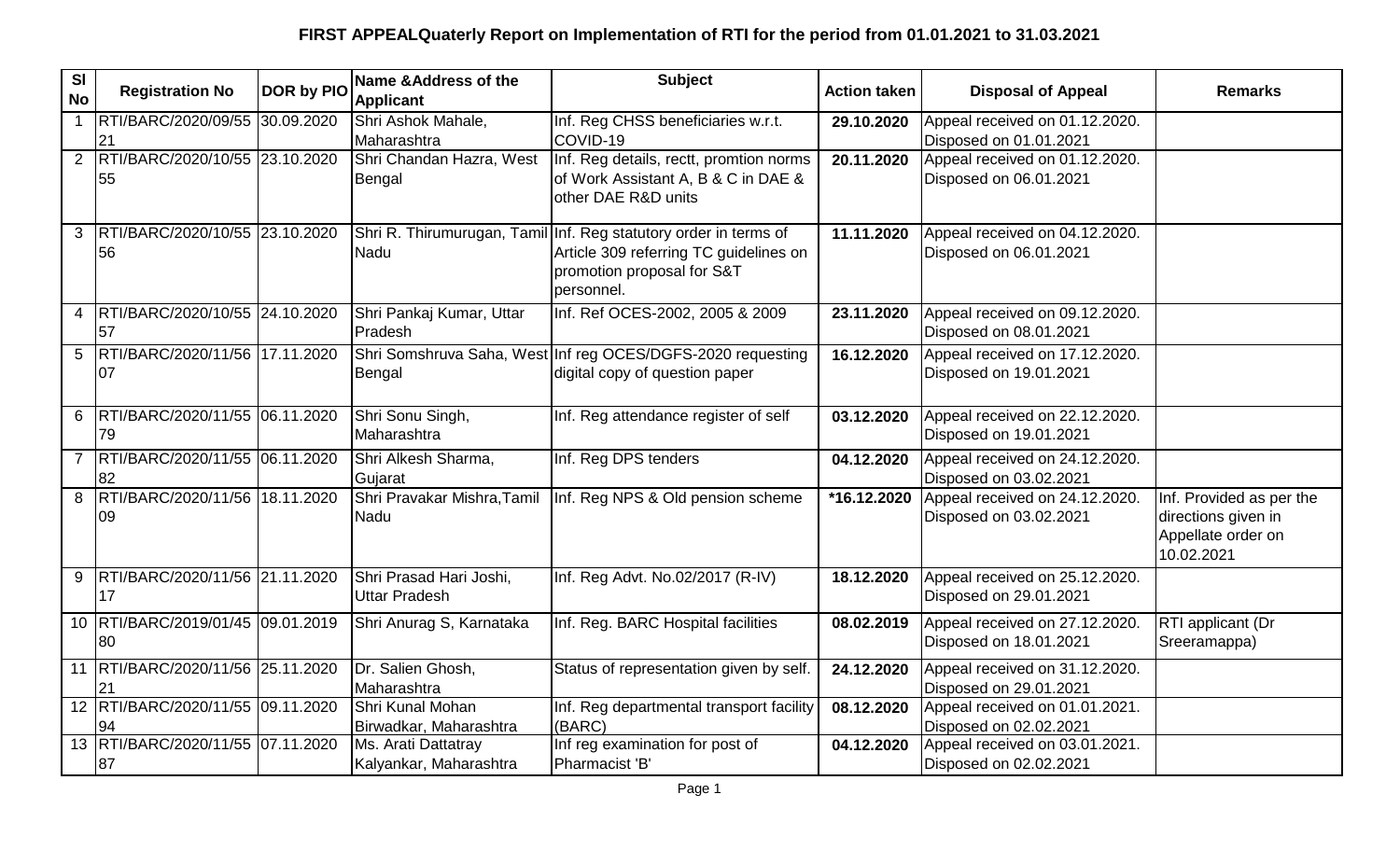| <b>SI</b><br><b>No</b> | <b>Registration No</b>                   | <b>DOR by PIO</b> | Name & Address of the<br><b>Applicant</b>       | <b>Subject</b>                                                                                                                                         | <b>Action taken</b> | <b>Disposal of Appeal</b>                                | <b>Remarks</b>                                                                      |
|------------------------|------------------------------------------|-------------------|-------------------------------------------------|--------------------------------------------------------------------------------------------------------------------------------------------------------|---------------------|----------------------------------------------------------|-------------------------------------------------------------------------------------|
| $\mathbf{1}$           | RTI/BARC/2020/09/55 30.09.2020<br>21     |                   | Shri Ashok Mahale,<br>Maharashtra               | Inf. Reg CHSS beneficiaries w.r.t.<br>COVID-19                                                                                                         | 29.10.2020          | Appeal received on 01.12.2020.<br>Disposed on 01.01.2021 |                                                                                     |
|                        | 2 RTI/BARC/2020/10/55 23.10.2020<br>55   |                   | Shri Chandan Hazra, West<br>Bengal              | Inf. Reg details, rectt, promtion norms<br>of Work Assistant A, B & C in DAE &<br>other DAE R&D units                                                  | 20.11.2020          | Appeal received on 01.12.2020.<br>Disposed on 06.01.2021 |                                                                                     |
|                        | 3  RTI/BARC/2020/10/55 23.10.2020<br>56  |                   | Nadu                                            | Shri R. Thirumurugan, Tamil Inf. Reg statutory order in terms of<br>Article 309 referring TC guidelines on<br>promotion proposal for S&T<br>personnel. | 11.11.2020          | Appeal received on 04.12.2020.<br>Disposed on 06.01.2021 |                                                                                     |
|                        | 4 RTI/BARC/2020/10/55 24.10.2020<br>57   |                   | Shri Pankaj Kumar, Uttar<br>Pradesh             | Inf. Ref OCES-2002, 2005 & 2009                                                                                                                        | 23.11.2020          | Appeal received on 09.12.2020.<br>Disposed on 08.01.2021 |                                                                                     |
|                        | 5  RTI/BARC/2020/11/56  17.11.2020<br>07 |                   | Bengal                                          | Shri Somshruva Saha, West Inf reg OCES/DGFS-2020 requesting<br>digital copy of question paper                                                          | 16.12.2020          | Appeal received on 17.12.2020.<br>Disposed on 19.01.2021 |                                                                                     |
|                        | 6 RTI/BARC/2020/11/55 06.11.2020<br>79   |                   | Shri Sonu Singh,<br>Maharashtra                 | Inf. Reg attendance register of self                                                                                                                   | 03.12.2020          | Appeal received on 22.12.2020.<br>Disposed on 19.01.2021 |                                                                                     |
| $\overline{7}$         | RTI/BARC/2020/11/55 06.11.2020<br>82     |                   | Shri Alkesh Sharma,<br>Gujarat                  | Inf. Reg DPS tenders                                                                                                                                   | 04.12.2020          | Appeal received on 24.12.2020.<br>Disposed on 03.02.2021 |                                                                                     |
|                        | 8 RTI/BARC/2020/11/56 18.11.2020<br>09   |                   | Shri Pravakar Mishra, Tamil<br>Nadu             | Inf. Reg NPS & Old pension scheme                                                                                                                      | *16.12.2020         | Appeal received on 24.12.2020.<br>Disposed on 03.02.2021 | Inf. Provided as per the<br>directions given in<br>Appellate order on<br>10.02.2021 |
|                        | 9 RTI/BARC/2020/11/56 21.11.2020<br>17   |                   | Shri Prasad Hari Joshi,<br><b>Uttar Pradesh</b> | Inf. Reg Advt. No.02/2017 (R-IV)                                                                                                                       | 18.12.2020          | Appeal received on 25.12.2020.<br>Disposed on 29.01.2021 |                                                                                     |
|                        | 10 RTI/BARC/2019/01/45 09.01.2019<br>80  |                   | Shri Anurag S, Karnataka                        | Inf. Reg. BARC Hospital facilities                                                                                                                     | 08.02.2019          | Appeal received on 27.12.2020.<br>Disposed on 18.01.2021 | RTI applicant (Dr<br>Sreeramappa)                                                   |
|                        | 11  RTI/BARC/2020/11/56 25.11.2020<br>21 |                   | Dr. Salien Ghosh,<br>Maharashtra                | Status of representation given by self.                                                                                                                | 24.12.2020          | Appeal received on 31.12.2020.<br>Disposed on 29.01.2021 |                                                                                     |
|                        | 12 RTI/BARC/2020/11/55 09.11.2020<br>94  |                   | Shri Kunal Mohan<br>Birwadkar, Maharashtra      | Inf. Reg departmental transport facility<br>(BARC)                                                                                                     | 08.12.2020          | Appeal received on 01.01.2021.<br>Disposed on 02.02.2021 |                                                                                     |
|                        | 13 RTI/BARC/2020/11/55 07.11.2020<br>87  |                   | Ms. Arati Dattatray<br>Kalyankar, Maharashtra   | Inf reg examination for post of<br>Pharmacist 'B'                                                                                                      | 04.12.2020          | Appeal received on 03.01.2021.<br>Disposed on 02.02.2021 |                                                                                     |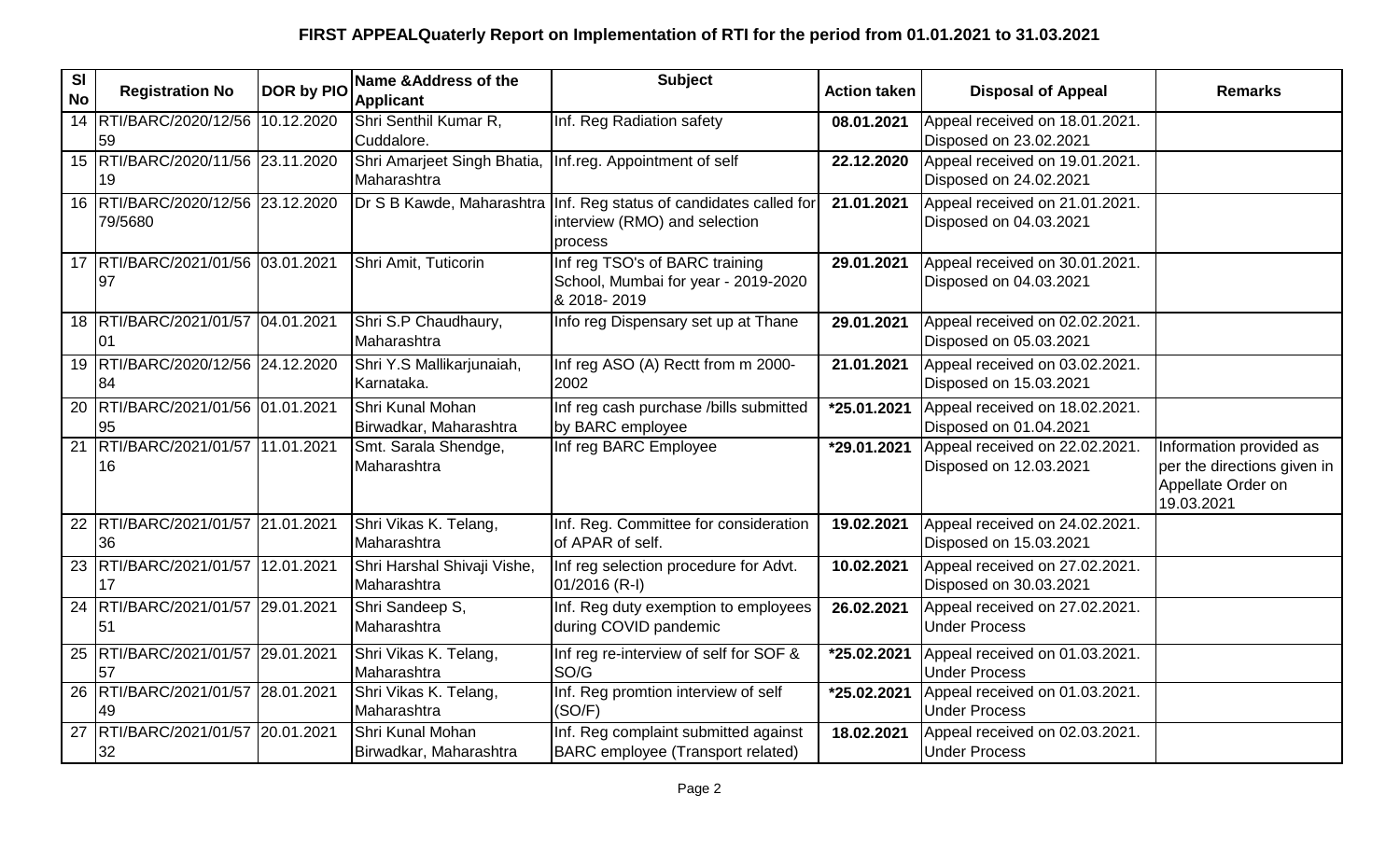| $\overline{\mathbf{S}}$<br><b>No</b> | <b>Registration No</b>                       | DOR by PIO | Name &Address of the<br><b>Applicant</b>   | <b>Subject</b>                                                                                                   | <b>Action taken</b> | <b>Disposal of Appeal</b>                                | <b>Remarks</b>                                                                             |
|--------------------------------------|----------------------------------------------|------------|--------------------------------------------|------------------------------------------------------------------------------------------------------------------|---------------------|----------------------------------------------------------|--------------------------------------------------------------------------------------------|
|                                      | 14 RTI/BARC/2020/12/56 10.12.2020<br>59      |            | Shri Senthil Kumar R,<br>Cuddalore.        | Inf. Reg Radiation safety                                                                                        | 08.01.2021          | Appeal received on 18.01.2021.<br>Disposed on 23.02.2021 |                                                                                            |
|                                      | 15 RTI/BARC/2020/11/56 23.11.2020<br>19      |            | Shri Amarjeet Singh Bhatia,<br>Maharashtra | Inf.reg. Appointment of self                                                                                     | 22.12.2020          | Appeal received on 19.01.2021.<br>Disposed on 24.02.2021 |                                                                                            |
|                                      | 16 RTI/BARC/2020/12/56 23.12.2020<br>79/5680 |            |                                            | Dr S B Kawde, Maharashtra   Inf. Reg status of candidates called for<br>interview (RMO) and selection<br>process | 21.01.2021          | Appeal received on 21.01.2021.<br>Disposed on 04.03.2021 |                                                                                            |
|                                      | 17   RTI/BARC/2021/01/56   03.01.2021<br>97  |            | Shri Amit, Tuticorin                       | Inf reg TSO's of BARC training<br>School, Mumbai for year - 2019-2020<br>& 2018-2019                             | 29.01.2021          | Appeal received on 30.01.2021.<br>Disposed on 04.03.2021 |                                                                                            |
|                                      | 18 RTI/BARC/2021/01/57 04.01.2021<br>01      |            | Shri S.P Chaudhaury,<br>Maharashtra        | Info reg Dispensary set up at Thane                                                                              | 29.01.2021          | Appeal received on 02.02.2021.<br>Disposed on 05.03.2021 |                                                                                            |
|                                      | 19 RTI/BARC/2020/12/56 24.12.2020<br>84      |            | Shri Y.S Mallikarjunaiah,<br>Karnataka.    | Inf reg ASO (A) Rectt from m 2000-<br>2002                                                                       | 21.01.2021          | Appeal received on 03.02.2021.<br>Disposed on 15.03.2021 |                                                                                            |
|                                      | 20 RTI/BARC/2021/01/56 01.01.2021<br>95      |            | Shri Kunal Mohan<br>Birwadkar, Maharashtra | Inf reg cash purchase /bills submitted<br>by BARC employee                                                       | *25.01.2021         | Appeal received on 18.02.2021.<br>Disposed on 01.04.2021 |                                                                                            |
|                                      | 21 RTI/BARC/2021/01/57 11.01.2021<br>16      |            | Smt. Sarala Shendge,<br>Maharashtra        | Inf reg BARC Employee                                                                                            | *29.01.2021         | Appeal received on 22.02.2021.<br>Disposed on 12.03.2021 | Information provided as<br>per the directions given in<br>Appellate Order on<br>19.03.2021 |
|                                      | 22 RTI/BARC/2021/01/57 21.01.2021<br>36      |            | Shri Vikas K. Telang,<br>Maharashtra       | Inf. Reg. Committee for consideration<br>of APAR of self.                                                        | 19.02.2021          | Appeal received on 24.02.2021.<br>Disposed on 15.03.2021 |                                                                                            |
|                                      | 23 RTI/BARC/2021/01/57 12.01.2021<br>17      |            | Shri Harshal Shivaji Vishe,<br>Maharashtra | Inf reg selection procedure for Advt.<br>01/2016 (R-I)                                                           | 10.02.2021          | Appeal received on 27.02.2021.<br>Disposed on 30.03.2021 |                                                                                            |
|                                      | 24 RTI/BARC/2021/01/57 29.01.2021<br>51      |            | Shri Sandeep S,<br>Maharashtra             | Inf. Reg duty exemption to employees<br>during COVID pandemic                                                    | 26.02.2021          | Appeal received on 27.02.2021.<br><b>Under Process</b>   |                                                                                            |
|                                      | 25 RTI/BARC/2021/01/57 29.01.2021<br>57      |            | Shri Vikas K. Telang,<br>Maharashtra       | Inf reg re-interview of self for SOF &<br>SO/G                                                                   | *25.02.2021         | Appeal received on 01.03.2021.<br><b>Under Process</b>   |                                                                                            |
|                                      | 26 RTI/BARC/2021/01/57 28.01.2021<br>49      |            | Shri Vikas K. Telang,<br>Maharashtra       | Inf. Reg promtion interview of self<br>(SO/F)                                                                    | *25.02.2021         | Appeal received on 01.03.2021.<br><b>Under Process</b>   |                                                                                            |
|                                      | 27 RTI/BARC/2021/01/57 20.01.2021<br>32      |            | Shri Kunal Mohan<br>Birwadkar, Maharashtra | Inf. Reg complaint submitted against<br>BARC employee (Transport related)                                        | 18.02.2021          | Appeal received on 02.03.2021.<br><b>Under Process</b>   |                                                                                            |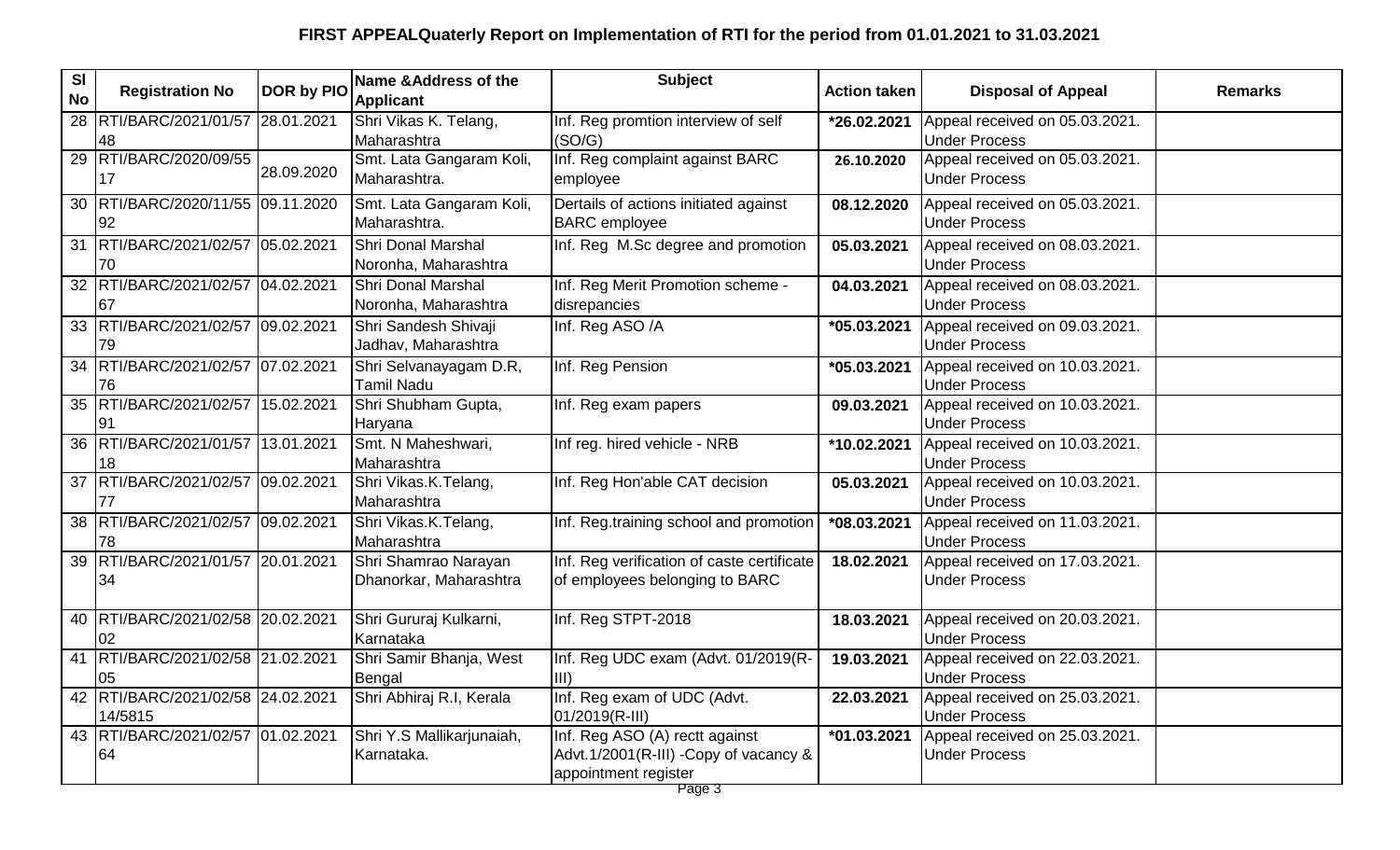| SI<br><b>No</b> | <b>Registration No</b>                           | DOR by PIO | Name & Address of the<br><b>Applicant</b>         | <b>Subject</b>                                                                                   | <b>Action taken</b> | <b>Disposal of Appeal</b>                              | <b>Remarks</b> |
|-----------------|--------------------------------------------------|------------|---------------------------------------------------|--------------------------------------------------------------------------------------------------|---------------------|--------------------------------------------------------|----------------|
|                 | 28 RTI/BARC/2021/01/57 28.01.2021<br>48          |            | Shri Vikas K. Telang,<br>Maharashtra              | Inf. Reg promtion interview of self<br>(SO/G)                                                    | *26.02.2021         | Appeal received on 05.03.2021.<br><b>Under Process</b> |                |
|                 | 29 RTI/BARC/2020/09/55<br>17                     | 28.09.2020 | Smt. Lata Gangaram Koli,<br>Maharashtra.          | Inf. Reg complaint against BARC<br>employee                                                      | 26.10.2020          | Appeal received on 05.03.2021.<br><b>Under Process</b> |                |
|                 | 30 RTI/BARC/2020/11/55 09.11.2020<br>92          |            | Smt. Lata Gangaram Koli,<br>Maharashtra.          | Dertails of actions initiated against<br><b>BARC</b> employee                                    | 08.12.2020          | Appeal received on 05.03.2021.<br><b>Under Process</b> |                |
| 31              | RTI/BARC/2021/02/57 05.02.2021<br>170            |            | Shri Donal Marshal<br>Noronha, Maharashtra        | Inf. Reg M.Sc degree and promotion                                                               | 05.03.2021          | Appeal received on 08.03.2021.<br><b>Under Process</b> |                |
|                 | 32 RTI/BARC/2021/02/57 04.02.2021<br>67          |            | <b>Shri Donal Marshal</b><br>Noronha, Maharashtra | Inf. Reg Merit Promotion scheme -<br>disrepancies                                                | 04.03.2021          | Appeal received on 08.03.2021.<br><b>Under Process</b> |                |
|                 | 33 RTI/BARC/2021/02/57 09.02.2021<br>79          |            | Shri Sandesh Shivaji<br>Jadhav, Maharashtra       | Inf. Reg ASO /A                                                                                  | *05.03.2021         | Appeal received on 09.03.2021.<br><b>Under Process</b> |                |
| 34              | RTI/BARC/2021/02/57 07.02.2021<br>76             |            | Shri Selvanayagam D.R,<br><b>Tamil Nadu</b>       | Inf. Reg Pension                                                                                 | *05.03.2021         | Appeal received on 10.03.2021.<br><b>Under Process</b> |                |
| 35              | RTI/BARC/2021/02/57 15.02.2021<br>91             |            | Shri Shubham Gupta,<br>Haryana                    | Inf. Reg exam papers                                                                             | 09.03.2021          | Appeal received on 10.03.2021.<br><b>Under Process</b> |                |
| 36              | RTI/BARC/2021/01/57 13.01.2021<br>18             |            | Smt. N Maheshwari,<br>Maharashtra                 | Inf reg. hired vehicle - NRB                                                                     | *10.02.2021         | Appeal received on 10.03.2021.<br><b>Under Process</b> |                |
| 37              | RTI/BARC/2021/02/57 09.02.2021<br>77             |            | Shri Vikas.K.Telang,<br>Maharashtra               | Inf. Reg Hon'able CAT decision                                                                   | 05.03.2021          | Appeal received on 10.03.2021.<br><b>Under Process</b> |                |
|                 | 38 RTI/BARC/2021/02/57 09.02.2021<br>78          |            | Shri Vikas.K.Telang,<br>Maharashtra               | Inf. Reg.training school and promotion                                                           | *08.03.2021         | Appeal received on 11.03.2021.<br><b>Under Process</b> |                |
|                 | 39 RTI/BARC/2021/01/57 20.01.2021<br>34          |            | Shri Shamrao Narayan<br>Dhanorkar, Maharashtra    | Inf. Reg verification of caste certificate<br>of employees belonging to BARC                     | 18.02.2021          | Appeal received on 17.03.2021.<br><b>Under Process</b> |                |
|                 | 40 RTI/BARC/2021/02/58 20.02.2021<br>02          |            | Shri Gururaj Kulkarni,<br>Karnataka               | Inf. Reg STPT-2018                                                                               | 18.03.2021          | Appeal received on 20.03.2021.<br><b>Under Process</b> |                |
| 41              | RTI/BARC/2021/02/58 21.02.2021<br>05             |            | Shri Samir Bhanja, West<br>Bengal                 | Inf. Reg UDC exam (Advt. 01/2019(R-<br>III)                                                      | 19.03.2021          | Appeal received on 22.03.2021.<br><b>Under Process</b> |                |
|                 | 42   RTI/BARC/2021/02/58   24.02.2021<br>14/5815 |            | Shri Abhiraj R.I, Kerala                          | Inf. Reg exam of UDC (Advt.<br>01/2019(R-III)                                                    | 22.03.2021          | Appeal received on 25.03.2021.<br><b>Under Process</b> |                |
|                 | 43 RTI/BARC/2021/02/57 01.02.2021<br>64          |            | Shri Y.S Mallikarjunaiah,<br>Karnataka.           | Inf. Reg ASO (A) rectt against<br>Advt.1/2001(R-III) - Copy of vacancy &<br>appointment register | *01.03.2021         | Appeal received on 25.03.2021.<br><b>Under Process</b> |                |